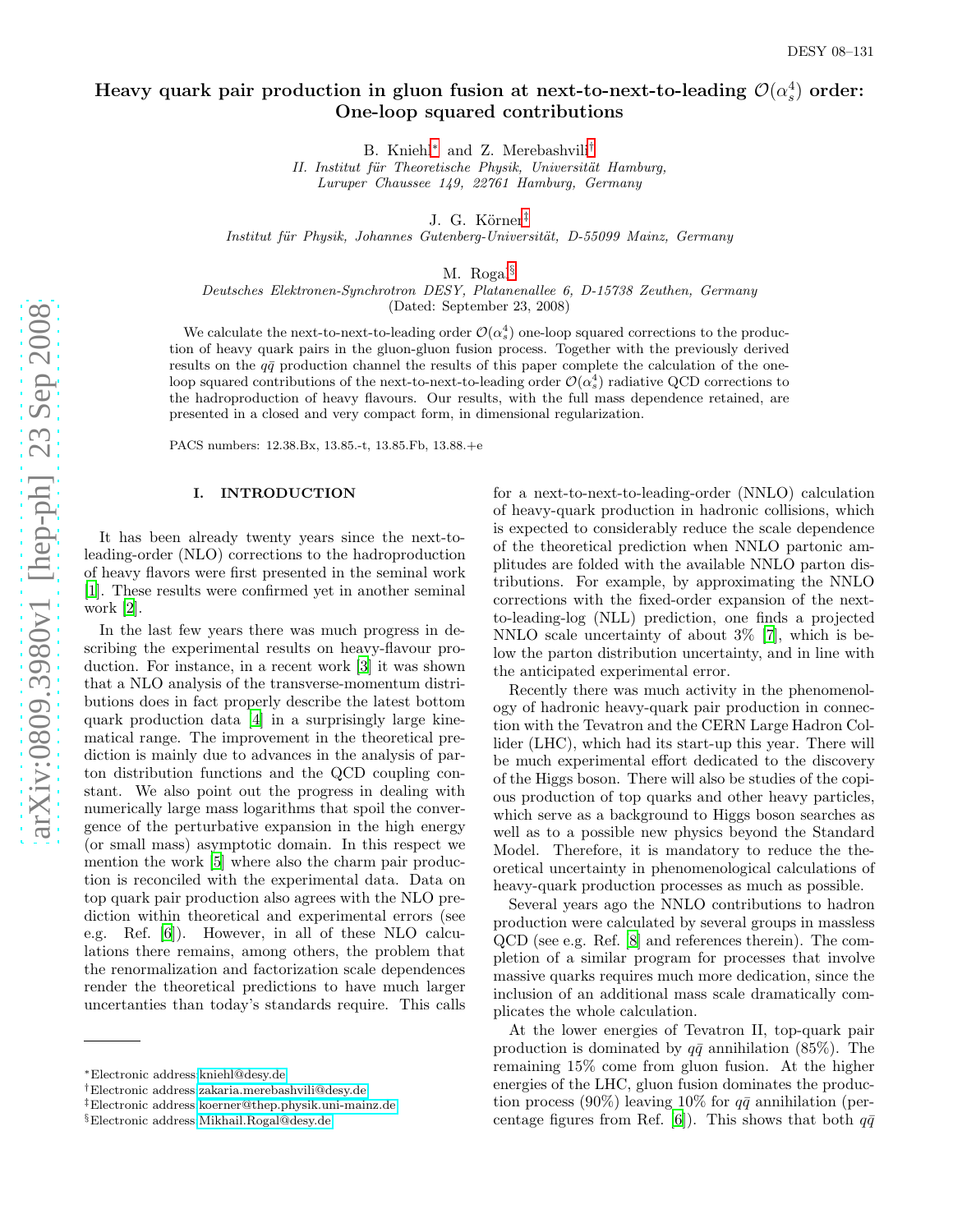# Heavy quark pair production in gluon fusion at next-to-next-to-leading  $\mathcal{O}(\alpha_s^4)$  order: One-loop squared contributions

B. Kniehl<sup>\*</sup> and Z. Merebashvili<sup>[†](#page-0-1)</sup>

II. Institut für Theoretische Physik, Universität Hamburg, Luruper Chaussee 149, 22761 Hamburg, Germany

J. G. Körner<sup>[‡](#page-0-2)</sup>

Institut für Physik, Johannes Gutenberg-Universität, D-55099 Mainz, Germany

M. Rogal [§](#page-0-3)

Deutsches Elektronen-Synchrotron DESY, Platanenallee 6, D-15738 Zeuthen, Germany (Dated: September 23, 2008)

We calculate the next-to-next-to-leading order  $\mathcal{O}(\alpha_s^4)$  one-loop squared corrections to the production of heavy quark pairs in the gluon-gluon fusion process. Together with the previously derived results on the  $q\bar{q}$  production channel the results of this paper complete the calculation of the oneloop squared contributions of the next-to-next-to-leading order  $\mathcal{O}(\alpha_s^4)$  radiative QCD corrections to the hadroproduction of heavy flavours. Our results, with the full mass dependence retained, are presented in a closed and very compact form, in dimensional regularization.

PACS numbers: 12.38.Bx, 13.85.-t, 13.85.Fb, 13.88.+e

#### I. INTRODUCTION

It has been already twenty years since the next-toleading-order (NLO) corrections to the hadroproduction of heavy flavors were first presented in the seminal work [\[1\]](#page-14-0). These results were confirmed yet in another seminal work [\[2](#page-14-1)].

In the last few years there was much progress in describing the experimental results on heavy-flavour production. For instance, in a recent work [\[3\]](#page-14-2) it was shown that a NLO analysis of the transverse-momentum distributions does in fact properly describe the latest bottom quark production data [\[4](#page-14-3)] in a surprisingly large kinematical range. The improvement in the theoretical prediction is mainly due to advances in the analysis of parton distribution functions and the QCD coupling constant. We also point out the progress in dealing with numerically large mass logarithms that spoil the convergence of the perturbative expansion in the high energy (or small mass) asymptotic domain. In this respect we mention the work [\[5](#page-15-0)] where also the charm pair production is reconciled with the experimental data. Data on top quark pair production also agrees with the NLO prediction within theoretical and experimental errors (see e.g. Ref. [\[6](#page-15-1)]). However, in all of these NLO calculations there remains, among others, the problem that the renormalization and factorization scale dependences render the theoretical predictions to have much larger uncertanties than today's standards require. This calls

for a next-to-next-to-leading-order (NNLO) calculation of heavy-quark production in hadronic collisions, which is expected to considerably reduce the scale dependence of the theoretical prediction when NNLO partonic amplitudes are folded with the available NNLO parton distributions. For example, by approximating the NNLO corrections with the fixed-order expansion of the nextto-leading-log (NLL) prediction, one finds a projected NNLO scale uncertainty of about 3% [\[7](#page-15-2)], which is below the parton distribution uncertainty, and in line with the anticipated experimental error.

Recently there was much activity in the phenomenology of hadronic heavy-quark pair production in connection with the Tevatron and the CERN Large Hadron Collider (LHC), which had its start-up this year. There will be much experimental effort dedicated to the discovery of the Higgs boson. There will also be studies of the copious production of top quarks and other heavy particles, which serve as a background to Higgs boson searches as well as to a possible new physics beyond the Standard Model. Therefore, it is mandatory to reduce the theoretical uncertainty in phenomenological calculations of heavy-quark production processes as much as possible.

Several years ago the NNLO contributions to hadron production were calculated by several groups in massless QCD (see e.g. Ref. [\[8\]](#page-15-3) and references therein). The completion of a similar program for processes that involve massive quarks requires much more dedication, since the inclusion of an additional mass scale dramatically complicates the whole calculation.

At the lower energies of Tevatron II, top-quark pair production is dominated by  $q\bar{q}$  annihilation (85%). The remaining 15% come from gluon fusion. At the higher energies of the LHC, gluon fusion dominates the production process (90%) leaving 10% for  $q\bar{q}$  annihilation (per-centage figures from Ref. [\[6\]](#page-15-1)). This shows that both  $q\bar{q}$ 

<span id="page-0-0"></span><sup>∗</sup>Electronic address[:kniehl@desy.de](mailto:kniehl@desy.de)

<span id="page-0-1"></span><sup>†</sup>Electronic address[:zakaria.merebashvili@desy.de](mailto:zakaria.merebashvili@desy.de)

<span id="page-0-2"></span><sup>‡</sup>Electronic address[:koerner@thep.physik.uni-mainz.de](mailto:koerner@thep.physik.uni-mainz.de)

<span id="page-0-3"></span><sup>§</sup>Electronic address[:Mikhail.Rogal@desy.de](mailto:Mikhail.Rogal@desy.de)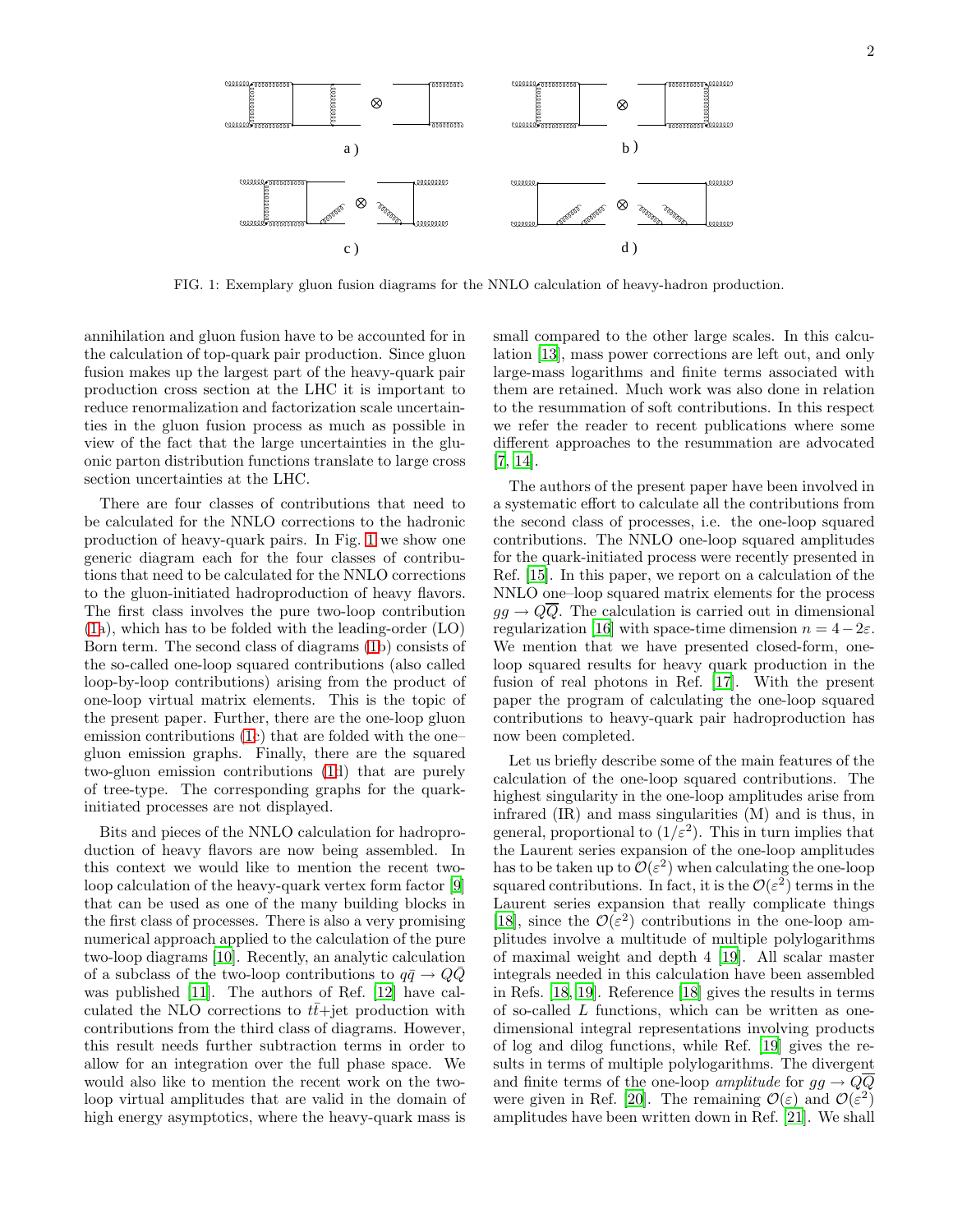

<span id="page-1-0"></span>FIG. 1: Exemplary gluon fusion diagrams for the NNLO calculation of heavy-hadron production.

annihilation and gluon fusion have to be accounted for in the calculation of top-quark pair production. Since gluon fusion makes up the largest part of the heavy-quark pair production cross section at the LHC it is important to reduce renormalization and factorization scale uncertainties in the gluon fusion process as much as possible in view of the fact that the large uncertainties in the gluonic parton distribution functions translate to large cross section uncertainties at the LHC.

There are four classes of contributions that need to be calculated for the NNLO corrections to the hadronic production of heavy-quark pairs. In Fig. [1](#page-1-0) we show one generic diagram each for the four classes of contributions that need to be calculated for the NNLO corrections to the gluon-initiated hadroproduction of heavy flavors. The first class involves the pure two-loop contribution [\(1a](#page-1-0)), which has to be folded with the leading-order (LO) Born term. The second class of diagrams [\(1b](#page-1-0)) consists of the so-called one-loop squared contributions (also called loop-by-loop contributions) arising from the product of one-loop virtual matrix elements. This is the topic of the present paper. Further, there are the one-loop gluon emission contributions [\(1c](#page-1-0)) that are folded with the one– gluon emission graphs. Finally, there are the squared two-gluon emission contributions [\(1d](#page-1-0)) that are purely of tree-type. The corresponding graphs for the quarkinitiated processes are not displayed.

Bits and pieces of the NNLO calculation for hadroproduction of heavy flavors are now being assembled. In this context we would like to mention the recent twoloop calculation of the heavy-quark vertex form factor [\[9](#page-15-4)] that can be used as one of the many building blocks in the first class of processes. There is also a very promising numerical approach applied to the calculation of the pure two-loop diagrams [\[10](#page-15-5)]. Recently, an analytic calculation of a subclass of the two-loop contributions to  $q\bar{q} \rightarrow Q\bar{Q}$ was published [\[11\]](#page-15-6). The authors of Ref. [\[12](#page-15-7)] have calculated the NLO corrections to  $t\bar{t}$ +jet production with contributions from the third class of diagrams. However, this result needs further subtraction terms in order to allow for an integration over the full phase space. We would also like to mention the recent work on the twoloop virtual amplitudes that are valid in the domain of high energy asymptotics, where the heavy-quark mass is

small compared to the other large scales. In this calculation [\[13\]](#page-15-8), mass power corrections are left out, and only large-mass logarithms and finite terms associated with them are retained. Much work was also done in relation to the resummation of soft contributions. In this respect we refer the reader to recent publications where some different approaches to the resummation are advocated [\[7,](#page-15-2) [14\]](#page-15-9).

The authors of the present paper have been involved in a systematic effort to calculate all the contributions from the second class of processes, i.e. the one-loop squared contributions. The NNLO one-loop squared amplitudes for the quark-initiated process were recently presented in Ref. [\[15](#page-15-10)]. In this paper, we report on a calculation of the NNLO one–loop squared matrix elements for the process  $q\bar{q} \rightarrow Q\overline{Q}$ . The calculation is carried out in dimensional regularization [\[16\]](#page-15-11) with space-time dimension  $n = 4-2\varepsilon$ . We mention that we have presented closed-form, oneloop squared results for heavy quark production in the fusion of real photons in Ref. [\[17\]](#page-15-12). With the present paper the program of calculating the one-loop squared contributions to heavy-quark pair hadroproduction has now been completed.

Let us briefly describe some of the main features of the calculation of the one-loop squared contributions. The highest singularity in the one-loop amplitudes arise from infrared (IR) and mass singularities (M) and is thus, in general, proportional to  $(1/\varepsilon^2)$ . This in turn implies that the Laurent series expansion of the one-loop amplitudes has to be taken up to  $\mathcal{O}(\varepsilon^2)$  when calculating the one-loop squared contributions. In fact, it is the  $\mathcal{O}(\varepsilon^2)$  terms in the Laurent series expansion that really complicate things [\[18\]](#page-15-13), since the  $\mathcal{O}(\varepsilon^2)$  contributions in the one-loop amplitudes involve a multitude of multiple polylogarithms of maximal weight and depth 4 [\[19](#page-15-14)]. All scalar master integrals needed in this calculation have been assembled in Refs. [\[18,](#page-15-13) [19](#page-15-14)]. Reference [\[18\]](#page-15-13) gives the results in terms of so-called L functions, which can be written as onedimensional integral representations involving products of log and dilog functions, while Ref. [\[19](#page-15-14)] gives the results in terms of multiple polylogarithms. The divergent and finite terms of the one-loop amplitude for  $gg \to Q\overline{Q}$ were given in Ref. [\[20](#page-15-15)]. The remaining  $\mathcal{O}(\varepsilon)$  and  $\mathcal{O}(\varepsilon^2)$ amplitudes have been written down in Ref. [\[21](#page-15-16)]. We shall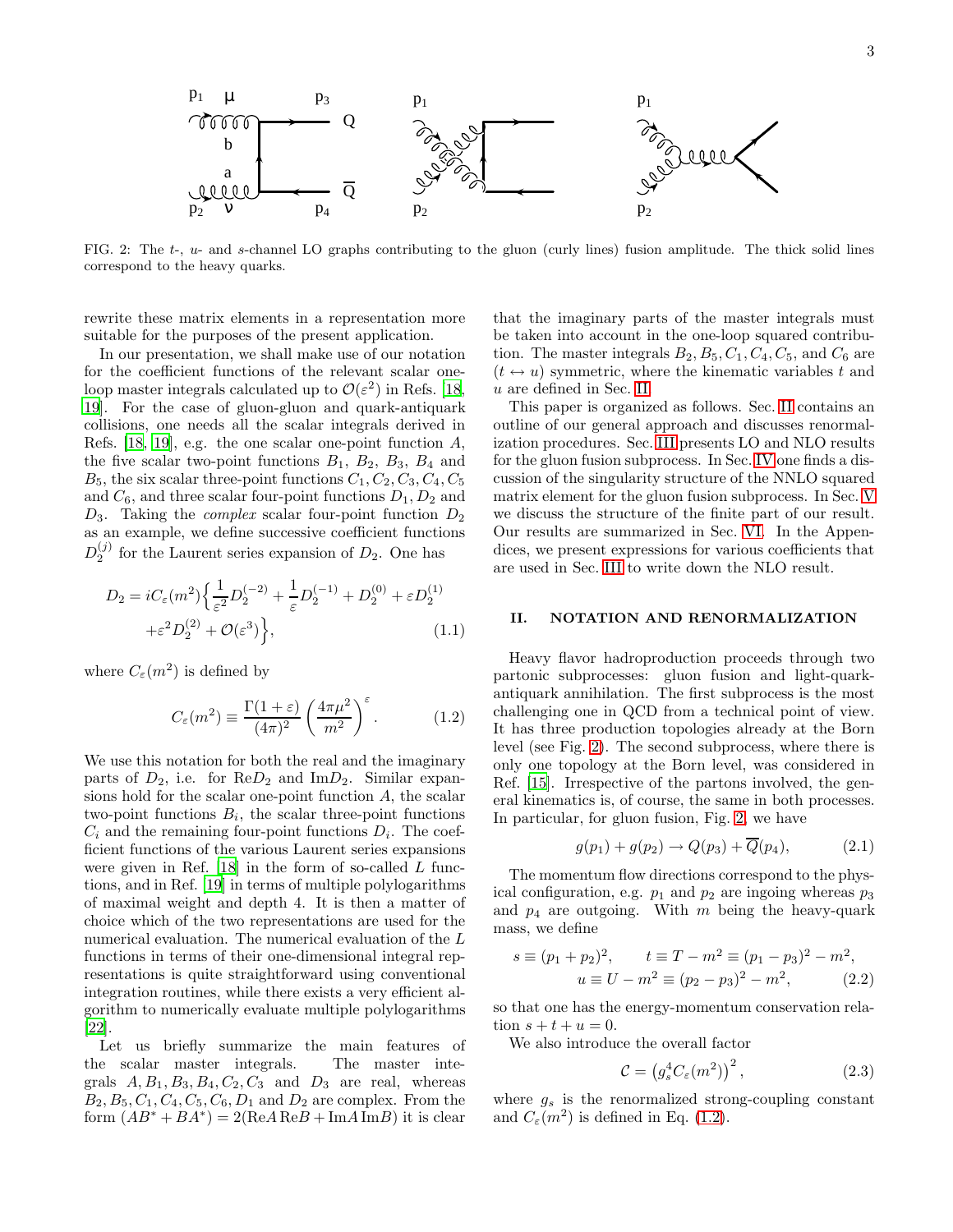

<span id="page-2-1"></span>FIG. 2: The  $t-$ ,  $u-$  and s-channel LO graphs contributing to the gluon (curly lines) fusion amplitude. The thick solid lines correspond to the heavy quarks.

rewrite these matrix elements in a representation more suitable for the purposes of the present application.

In our presentation, we shall make use of our notation for the coefficient functions of the relevant scalar oneloop master integrals calculated up to  $\mathcal{O}(\varepsilon^2)$  in Refs. [\[18](#page-15-13), [19\]](#page-15-14). For the case of gluon-gluon and quark-antiquark collisions, one needs all the scalar integrals derived in Refs. [\[18](#page-15-13), [19\]](#page-15-14), e.g. the one scalar one-point function  $A$ , the five scalar two-point functions  $B_1$ ,  $B_2$ ,  $B_3$ ,  $B_4$  and  $B_5$ , the six scalar three-point functions  $C_1, C_2, C_3, C_4, C_5$ and  $C_6$ , and three scalar four-point functions  $D_1, D_2$  and  $D_3$ . Taking the *complex* scalar four-point function  $D_2$ as an example, we define successive coefficient functions  $D_2^{(j)}$  for the Laurent series expansion of  $D_2$ . One has

<span id="page-2-3"></span>
$$
D_2 = iC_{\varepsilon}(m^2) \left\{ \frac{1}{\varepsilon^2} D_2^{(-2)} + \frac{1}{\varepsilon} D_2^{(-1)} + D_2^{(0)} + \varepsilon D_2^{(1)} + \varepsilon^2 D_2^{(2)} + \mathcal{O}(\varepsilon^3) \right\},
$$
\n(1.1)

where  $C_{\varepsilon}(m^2)$  is defined by

<span id="page-2-2"></span>
$$
C_{\varepsilon}(m^2) \equiv \frac{\Gamma(1+\varepsilon)}{(4\pi)^2} \left(\frac{4\pi\mu^2}{m^2}\right)^{\varepsilon}.
$$
 (1.2)

We use this notation for both the real and the imaginary parts of  $D_2$ , i.e. for  $\text{Re}D_2$  and  $\text{Im}D_2$ . Similar expansions hold for the scalar one-point function  $A$ , the scalar two-point functions  $B_i$ , the scalar three-point functions  $C_i$  and the remaining four-point functions  $D_i$ . The coefficient functions of the various Laurent series expansions were given in Ref. [\[18\]](#page-15-13) in the form of so-called  $L$  functions, and in Ref. [\[19\]](#page-15-14) in terms of multiple polylogarithms of maximal weight and depth 4. It is then a matter of choice which of the two representations are used for the numerical evaluation. The numerical evaluation of the L functions in terms of their one-dimensional integral representations is quite straightforward using conventional integration routines, while there exists a very efficient algorithm to numerically evaluate multiple polylogarithms [\[22\]](#page-15-17).

Let us briefly summarize the main features of the scalar master integrals. The master integrals  $A, B_1, B_3, B_4, C_2, C_3$  and  $D_3$  are real, whereas  $B_2, B_5, C_1, C_4, C_5, C_6, D_1$  and  $D_2$  are complex. From the form  $(AB^* + BA^*) = 2(ReA ReB + ImA ImB)$  it is clear

that the imaginary parts of the master integrals must be taken into account in the one-loop squared contribution. The master integrals  $B_2, B_5, C_1, C_4, C_5$ , and  $C_6$  are  $(t \leftrightarrow u)$  symmetric, where the kinematic variables t and u are defined in Sec. [II.](#page-2-0)

This paper is organized as follows. Sec. [II](#page-2-0) contains an outline of our general approach and discusses renormalization procedures. Sec. [III](#page-4-0) presents LO and NLO results for the gluon fusion subprocess. In Sec. [IV](#page-7-0) one finds a discussion of the singularity structure of the NNLO squared matrix element for the gluon fusion subprocess. In Sec. [V](#page-8-0) we discuss the structure of the finite part of our result. Our results are summarized in Sec. [VI.](#page-9-0) In the Appendices, we present expressions for various coefficients that are used in Sec. [III](#page-4-0) to write down the NLO result.

### <span id="page-2-0"></span>II. NOTATION AND RENORMALIZATION

Heavy flavor hadroproduction proceeds through two partonic subprocesses: gluon fusion and light-quarkantiquark annihilation. The first subprocess is the most challenging one in QCD from a technical point of view. It has three production topologies already at the Born level (see Fig. [2\)](#page-2-1). The second subprocess, where there is only one topology at the Born level, was considered in Ref. [\[15](#page-15-10)]. Irrespective of the partons involved, the general kinematics is, of course, the same in both processes. In particular, for gluon fusion, Fig. [2,](#page-2-1) we have

$$
g(p_1) + g(p_2) \rightarrow Q(p_3) + \overline{Q}(p_4), \qquad (2.1)
$$

The momentum flow directions correspond to the physical configuration, e.g.  $p_1$  and  $p_2$  are ingoing whereas  $p_3$ and  $p_4$  are outgoing. With m being the heavy-quark mass, we define

$$
s \equiv (p_1 + p_2)^2, \qquad t \equiv T - m^2 \equiv (p_1 - p_3)^2 - m^2, \nu \equiv U - m^2 \equiv (p_2 - p_3)^2 - m^2, \tag{2.2}
$$

so that one has the energy-momentum conservation relation  $s + t + u = 0$ .

We also introduce the overall factor

<span id="page-2-4"></span>
$$
\mathcal{C} = \left( g_s^4 C_\varepsilon(m^2) \right)^2, \tag{2.3}
$$

where  $g_s$  is the renormalized strong-coupling constant and  $C_{\varepsilon}(m^2)$  is defined in Eq. [\(1.2\)](#page-2-2).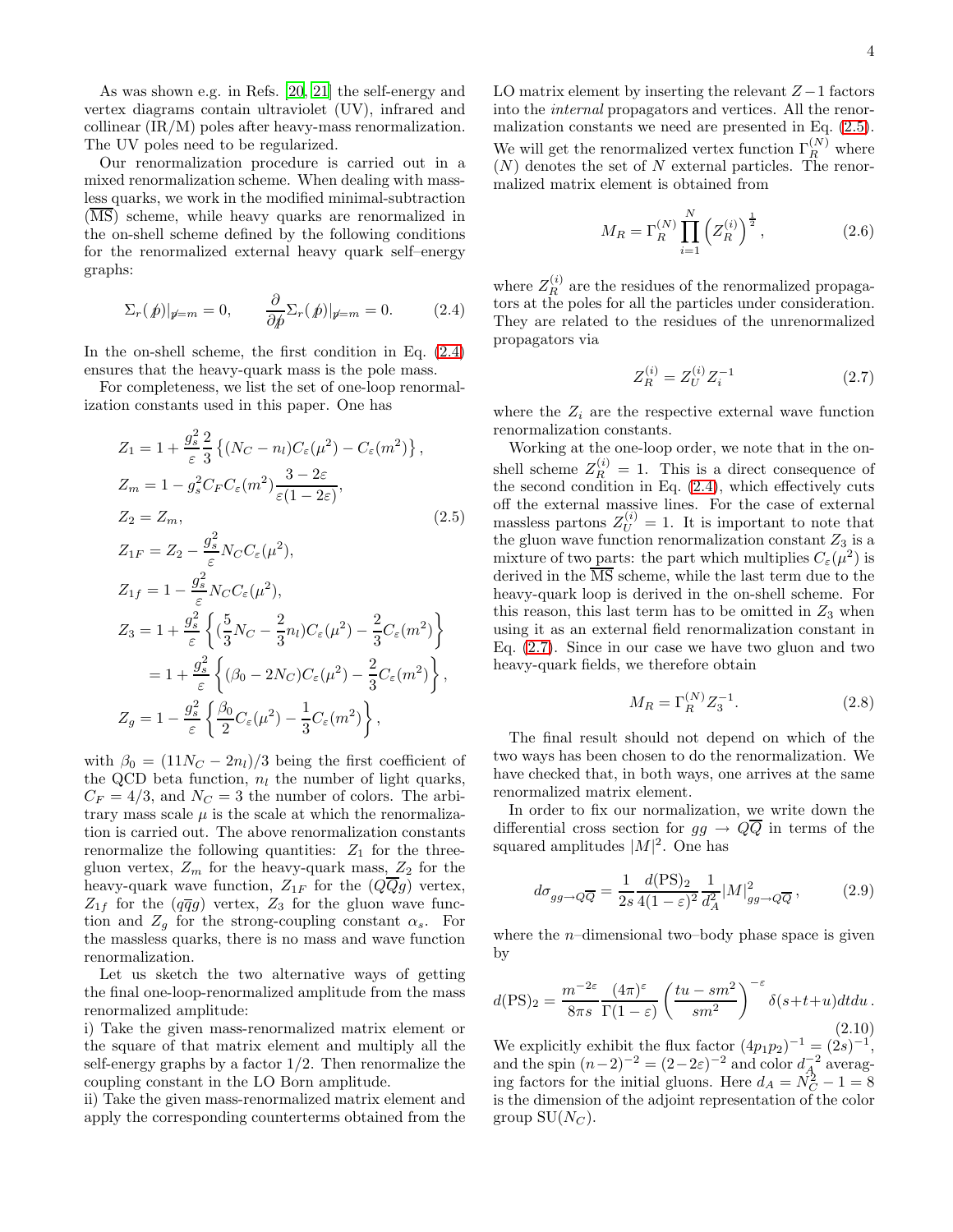As was shown e.g. in Refs. [\[20](#page-15-15), [21](#page-15-16)] the self-energy and vertex diagrams contain ultraviolet (UV), infrared and collinear (IR/M) poles after heavy-mass renormalization. The UV poles need to be regularized.

Our renormalization procedure is carried out in a mixed renormalization scheme. When dealing with massless quarks, we work in the modified minimal-subtraction  $(\overline{\text{MS}})$  scheme, while heavy quarks are renormalized in the on-shell scheme defined by the following conditions for the renormalized external heavy quark self–energy graphs:

<span id="page-3-0"></span>
$$
\Sigma_r(\hat{p})|_{p=m} = 0, \qquad \frac{\partial}{\partial \hat{p}} \Sigma_r(\hat{p})|_{p=m} = 0. \tag{2.4}
$$

In the on-shell scheme, the first condition in Eq. [\(2.4\)](#page-3-0) ensures that the heavy-quark mass is the pole mass.

For completeness, we list the set of one-loop renormalization constants used in this paper. One has

<span id="page-3-1"></span>
$$
Z_1 = 1 + \frac{g_s^2}{\varepsilon} \frac{2}{3} \left\{ (N_C - n_l) C_{\varepsilon} (\mu^2) - C_{\varepsilon} (m^2) \right\},
$$
  
\n
$$
Z_m = 1 - g_s^2 C_F C_{\varepsilon} (m^2) \frac{3 - 2\varepsilon}{\varepsilon (1 - 2\varepsilon)},
$$
  
\n
$$
Z_2 = Z_m,
$$
  
\n
$$
Z_{1F} = Z_2 - \frac{g_s^2}{\varepsilon} N_C C_{\varepsilon} (\mu^2),
$$
  
\n
$$
Z_{1f} = 1 - \frac{g_s^2}{\varepsilon} N_C C_{\varepsilon} (\mu^2),
$$
  
\n
$$
Z_3 = 1 + \frac{g_s^2}{\varepsilon} \left\{ (\frac{5}{3} N_C - \frac{2}{3} n_l) C_{\varepsilon} (\mu^2) - \frac{2}{3} C_{\varepsilon} (m^2) \right\}
$$
  
\n
$$
= 1 + \frac{g_s^2}{\varepsilon} \left\{ (\beta_0 - 2N_C) C_{\varepsilon} (\mu^2) - \frac{2}{3} C_{\varepsilon} (m^2) \right\},
$$
  
\n
$$
Z_g = 1 - \frac{g_s^2}{\varepsilon} \left\{ \frac{\beta_0}{2} C_{\varepsilon} (\mu^2) - \frac{1}{3} C_{\varepsilon} (m^2) \right\},
$$

with  $\beta_0 = (11N_C - 2n_l)/3$  being the first coefficient of the QCD beta function,  $n_l$  the number of light quarks,  $C_F = 4/3$ , and  $N_C = 3$  the number of colors. The arbitrary mass scale  $\mu$  is the scale at which the renormalization is carried out. The above renormalization constants renormalize the following quantities:  $Z_1$  for the threegluon vertex,  $Z_m$  for the heavy-quark mass,  $Z_2$  for the heavy-quark wave function,  $Z_{1F}$  for the  $(QQg)$  vertex,  $Z_{1f}$  for the  $(q\overline{q}g)$  vertex,  $Z_3$  for the gluon wave function and  $Z_g$  for the strong-coupling constant  $\alpha_s$ . For the massless quarks, there is no mass and wave function renormalization.

Let us sketch the two alternative ways of getting the final one-loop-renormalized amplitude from the mass renormalized amplitude:

i) Take the given mass-renormalized matrix element or the square of that matrix element and multiply all the self-energy graphs by a factor  $1/2$ . Then renormalize the coupling constant in the LO Born amplitude.

ii) Take the given mass-renormalized matrix element and apply the corresponding counterterms obtained from the LO matrix element by inserting the relevant  $Z-1$  factors into the internal propagators and vertices. All the renormalization constants we need are presented in Eq. [\(2.5\)](#page-3-1). We will get the renormalized vertex function  $\Gamma_R^{(N)}$  where  $(N)$  denotes the set of N external particles. The renormalized matrix element is obtained from

$$
M_R = \Gamma_R^{(N)} \prod_{i=1}^N \left( Z_R^{(i)} \right)^{\frac{1}{2}}, \tag{2.6}
$$

where  $Z_R^{(i)}$  are the residues of the renormalized propagators at the poles for all the particles under consideration. They are related to the residues of the unrenormalized propagators via

<span id="page-3-2"></span>
$$
Z_R^{(i)} = Z_U^{(i)} Z_i^{-1} \tag{2.7}
$$

where the  $Z_i$  are the respective external wave function renormalization constants.

Working at the one-loop order, we note that in the onshell scheme  $Z_R^{(i)} = 1$ . This is a direct consequence of the second condition in Eq. [\(2.4\)](#page-3-0), which effectively cuts off the external massive lines. For the case of external massless partons  $Z_U^{(i)} = 1$ . It is important to note that the gluon wave function renormalization constant  $Z_3$  is a mixture of two parts: the part which multiplies  $C_{\varepsilon}(\mu^2)$  is derived in the  $\overline{\text{MS}}$  scheme, while the last term due to the heavy-quark loop is derived in the on-shell scheme. For this reason, this last term has to be omitted in  $Z_3$  when using it as an external field renormalization constant in Eq. [\(2.7\)](#page-3-2). Since in our case we have two gluon and two heavy-quark fields, we therefore obtain

$$
M_R = \Gamma_R^{(N)} Z_3^{-1}.
$$
\n
$$
(2.8)
$$

The final result should not depend on which of the two ways has been chosen to do the renormalization. We have checked that, in both ways, one arrives at the same renormalized matrix element.

In order to fix our normalization, we write down the differential cross section for  $gg \to Q\overline{Q}$  in terms of the squared amplitudes  $|M|^2$ . One has

$$
d\sigma_{gg \to Q\overline{Q}} = \frac{1}{2s} \frac{d(\text{PS})_2}{4(1-\varepsilon)^2} \frac{1}{d_A^2} |M|^2_{gg \to Q\overline{Q}},\tag{2.9}
$$

where the *n*-dimensional two–body phase space is given by

$$
d(\text{PS})_2 = \frac{m^{-2\varepsilon}}{8\pi s} \frac{(4\pi)^{\varepsilon}}{\Gamma(1-\varepsilon)} \left(\frac{tu - sm^2}{sm^2}\right)^{-\varepsilon} \delta(s+t+u) dt du. \tag{2.10}
$$

We explicitly exhibit the flux factor  $(4p_1p_2)^{-1} = (2s)^{-1}$ , and the spin  $(n-2)^{-2} = (2-2\varepsilon)^{-2}$  and color  $d_A^{-2}$  averaging factors for the initial gluons. Here  $d_A = N_C^2 - 1 = 8$ is the dimension of the adjoint representation of the color group  $SU(N_C)$ .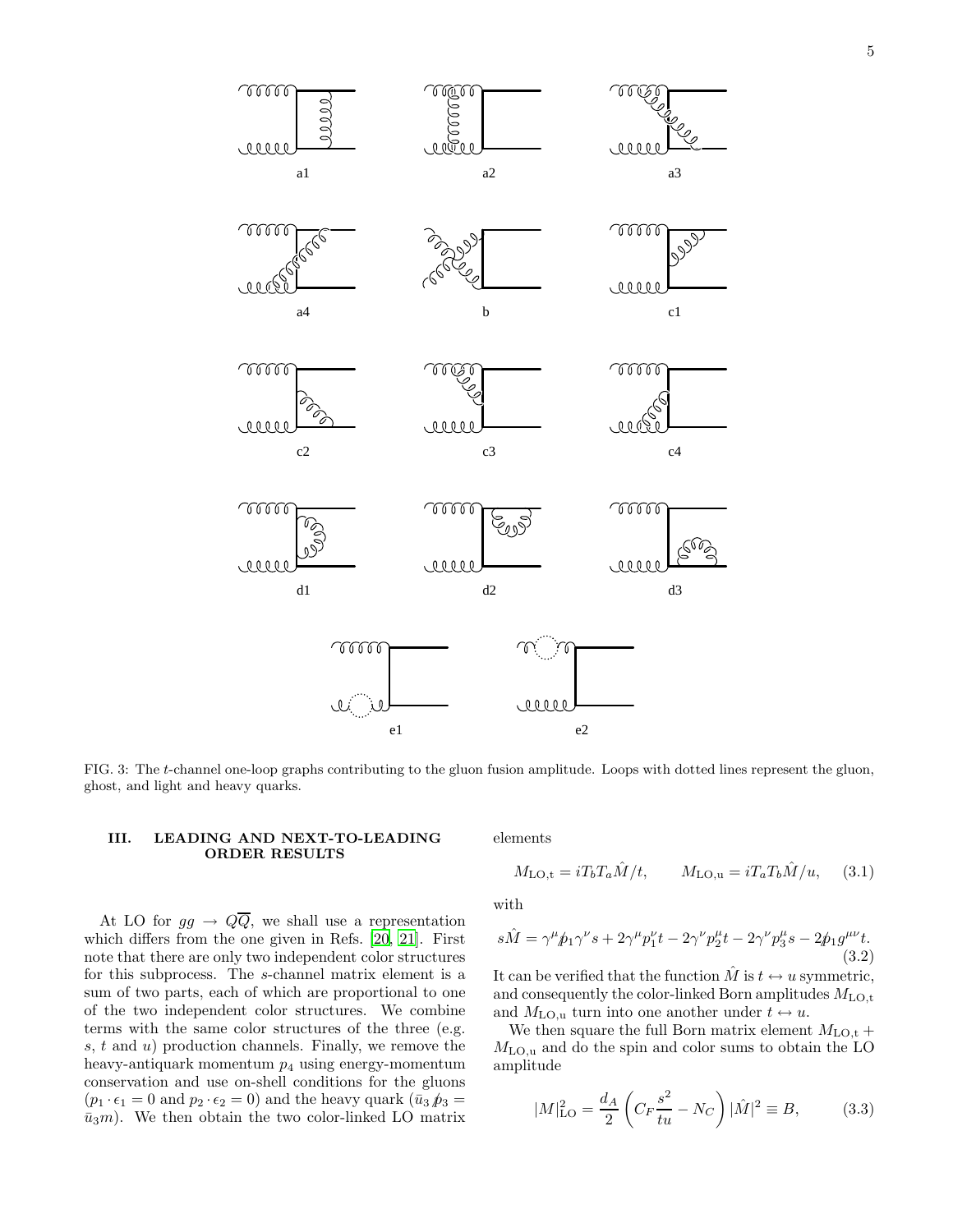

FIG. 3: The t-channel one-loop graphs contributing to the gluon fusion amplitude. Loops with dotted lines represent the gluon,

#### <span id="page-4-0"></span>III. LEADING AND NEXT-TO-LEADING ORDER RESULTS

<span id="page-4-2"></span>ghost, and light and heavy quarks.

At LO for  $gg \to Q\overline{Q}$ , we shall use a representation which differs from the one given in Refs. [\[20](#page-15-15), [21\]](#page-15-16). First note that there are only two independent color structures for this subprocess. The s-channel matrix element is a sum of two parts, each of which are proportional to one of the two independent color structures. We combine terms with the same color structures of the three (e.g. s,  $t$  and  $u$ ) production channels. Finally, we remove the heavy-antiquark momentum  $p_4$  using energy-momentum conservation and use on-shell conditions for the gluons  $(p_1 \cdot \epsilon_1 = 0 \text{ and } p_2 \cdot \epsilon_2 = 0)$  and the heavy quark  $(\bar{u}_3 \hat{p}_3 =$  $\bar{u}_3m$ ). We then obtain the two color-linked LO matrix elements

<span id="page-4-3"></span>
$$
M_{\text{LO,t}} = iT_b T_a \hat{M}/t, \qquad M_{\text{LO,u}} = iT_a T_b \hat{M}/u, \qquad (3.1)
$$

with

$$
s\hat{M} = \gamma^{\mu} \hat{p}_1 \gamma^{\nu} s + 2\gamma^{\mu} p_1^{\nu} t - 2\gamma^{\nu} p_2^{\mu} t - 2\gamma^{\nu} p_3^{\mu} s - 2\hat{p}_1 g^{\mu \nu} t. \tag{3.2}
$$

It can be verified that the function  $\hat{M}$  is  $t \leftrightarrow u$  symmetric, and consequently the color-linked Born amplitudes  $M_{\text{LO,t}}$ and  $M_{\text{LO},u}$  turn into one another under  $t \leftrightarrow u$ .

We then square the full Born matrix element  $M_{\text{LO,t}} +$  $M_{\text{LO},u}$  and do the spin and color sums to obtain the LO amplitude

<span id="page-4-1"></span>
$$
|M|_{\text{LO}}^2 = \frac{d_A}{2} \left( C_F \frac{s^2}{tu} - N_C \right) |\hat{M}|^2 \equiv B,
$$
 (3.3)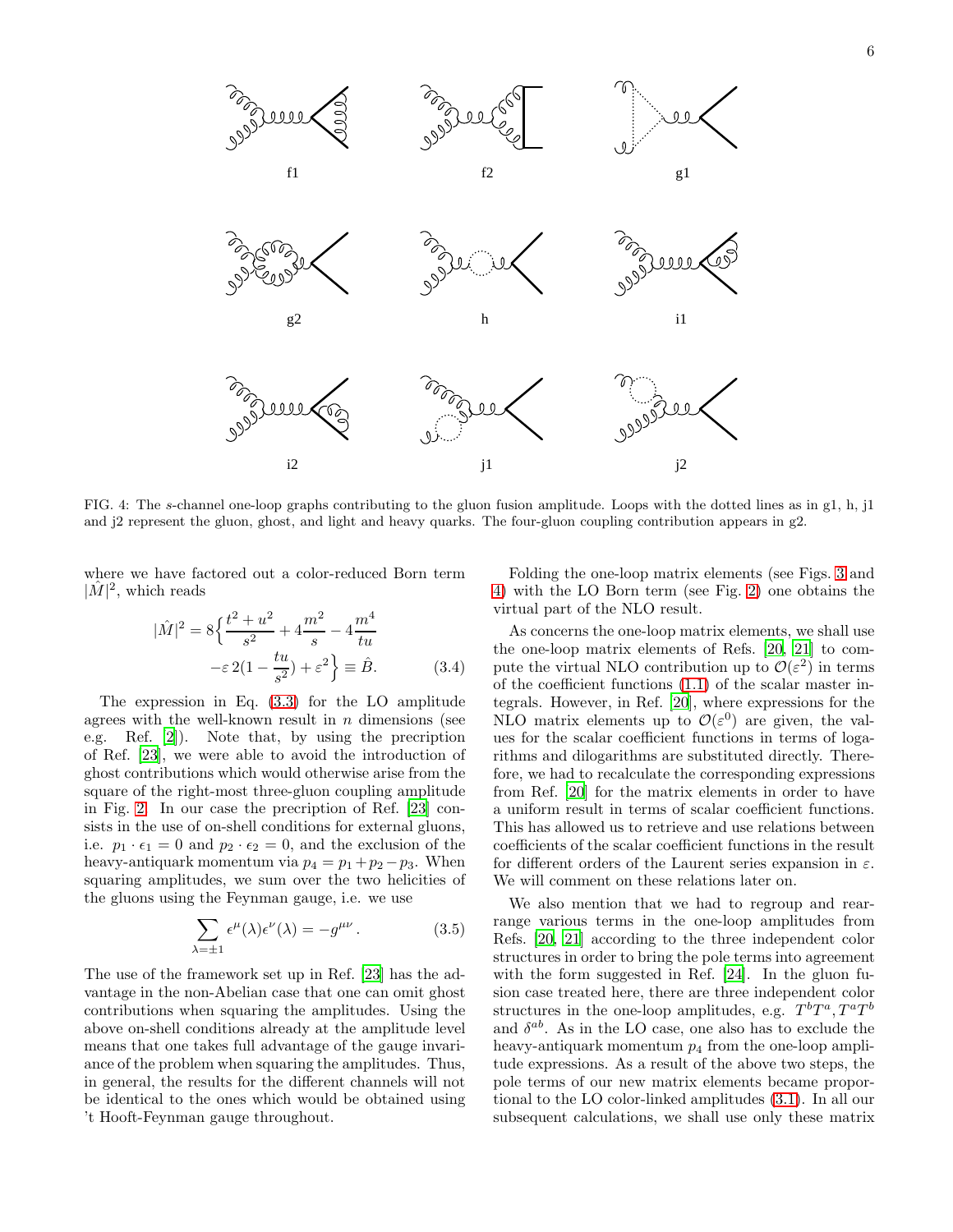

<span id="page-5-0"></span>FIG. 4: The s-channel one-loop graphs contributing to the gluon fusion amplitude. Loops with the dotted lines as in g1, h, j1 and j2 represent the gluon, ghost, and light and heavy quarks. The four-gluon coupling contribution appears in g2.

where we have factored out a color-reduced Born term  $|\hat{M}|^2$ , which reads

<span id="page-5-1"></span>
$$
|\hat{M}|^2 = 8\left\{\frac{t^2 + u^2}{s^2} + 4\frac{m^2}{s} - 4\frac{m^4}{tu} - \varepsilon 2(1 - \frac{tu}{s^2}) + \varepsilon^2\right\} \equiv \hat{B}.
$$
 (3.4)

The expression in Eq. [\(3.3\)](#page-4-1) for the LO amplitude agrees with the well-known result in  $n$  dimensions (see e.g. Ref. [\[2\]](#page-14-1)). Note that, by using the precription of Ref. [\[23](#page-15-18)], we were able to avoid the introduction of ghost contributions which would otherwise arise from the square of the right-most three-gluon coupling amplitude in Fig. [2.](#page-2-1) In our case the precription of Ref. [\[23\]](#page-15-18) consists in the use of on-shell conditions for external gluons, i.e.  $p_1 \cdot \epsilon_1 = 0$  and  $p_2 \cdot \epsilon_2 = 0$ , and the exclusion of the heavy-antiquark momentum via  $p_4 = p_1 + p_2 - p_3$ . When squaring amplitudes, we sum over the two helicities of the gluons using the Feynman gauge, i.e. we use

$$
\sum_{\lambda = \pm 1} \epsilon^{\mu}(\lambda) \epsilon^{\nu}(\lambda) = -g^{\mu \nu}.
$$
 (3.5)

The use of the framework set up in Ref. [\[23](#page-15-18)] has the advantage in the non-Abelian case that one can omit ghost contributions when squaring the amplitudes. Using the above on-shell conditions already at the amplitude level means that one takes full advantage of the gauge invariance of the problem when squaring the amplitudes. Thus, in general, the results for the different channels will not be identical to the ones which would be obtained using 't Hooft-Feynman gauge throughout.

Folding the one-loop matrix elements (see Figs. [3](#page-4-2) and [4\)](#page-5-0) with the LO Born term (see Fig. [2\)](#page-2-1) one obtains the virtual part of the NLO result.

As concerns the one-loop matrix elements, we shall use the one-loop matrix elements of Refs. [\[20](#page-15-15), [21\]](#page-15-16) to compute the virtual NLO contribution up to  $\mathcal{O}(\varepsilon^2)$  in terms of the coefficient functions [\(1.1\)](#page-2-3) of the scalar master integrals. However, in Ref. [\[20\]](#page-15-15), where expressions for the NLO matrix elements up to  $\mathcal{O}(\varepsilon^0)$  are given, the values for the scalar coefficient functions in terms of logarithms and dilogarithms are substituted directly. Therefore, we had to recalculate the corresponding expressions from Ref. [\[20\]](#page-15-15) for the matrix elements in order to have a uniform result in terms of scalar coefficient functions. This has allowed us to retrieve and use relations between coefficients of the scalar coefficient functions in the result for different orders of the Laurent series expansion in  $\varepsilon$ . We will comment on these relations later on.

We also mention that we had to regroup and rearrange various terms in the one-loop amplitudes from Refs. [\[20,](#page-15-15) [21\]](#page-15-16) according to the three independent color structures in order to bring the pole terms into agreement with the form suggested in Ref. [\[24](#page-15-19)]. In the gluon fusion case treated here, there are three independent color structures in the one-loop amplitudes, e.g.  $T^b T^a, T^a T^b$ and  $\delta^{ab}$ . As in the LO case, one also has to exclude the heavy-antiquark momentum  $p_4$  from the one-loop amplitude expressions. As a result of the above two steps, the pole terms of our new matrix elements became proportional to the LO color-linked amplitudes [\(3.1\)](#page-4-3). In all our subsequent calculations, we shall use only these matrix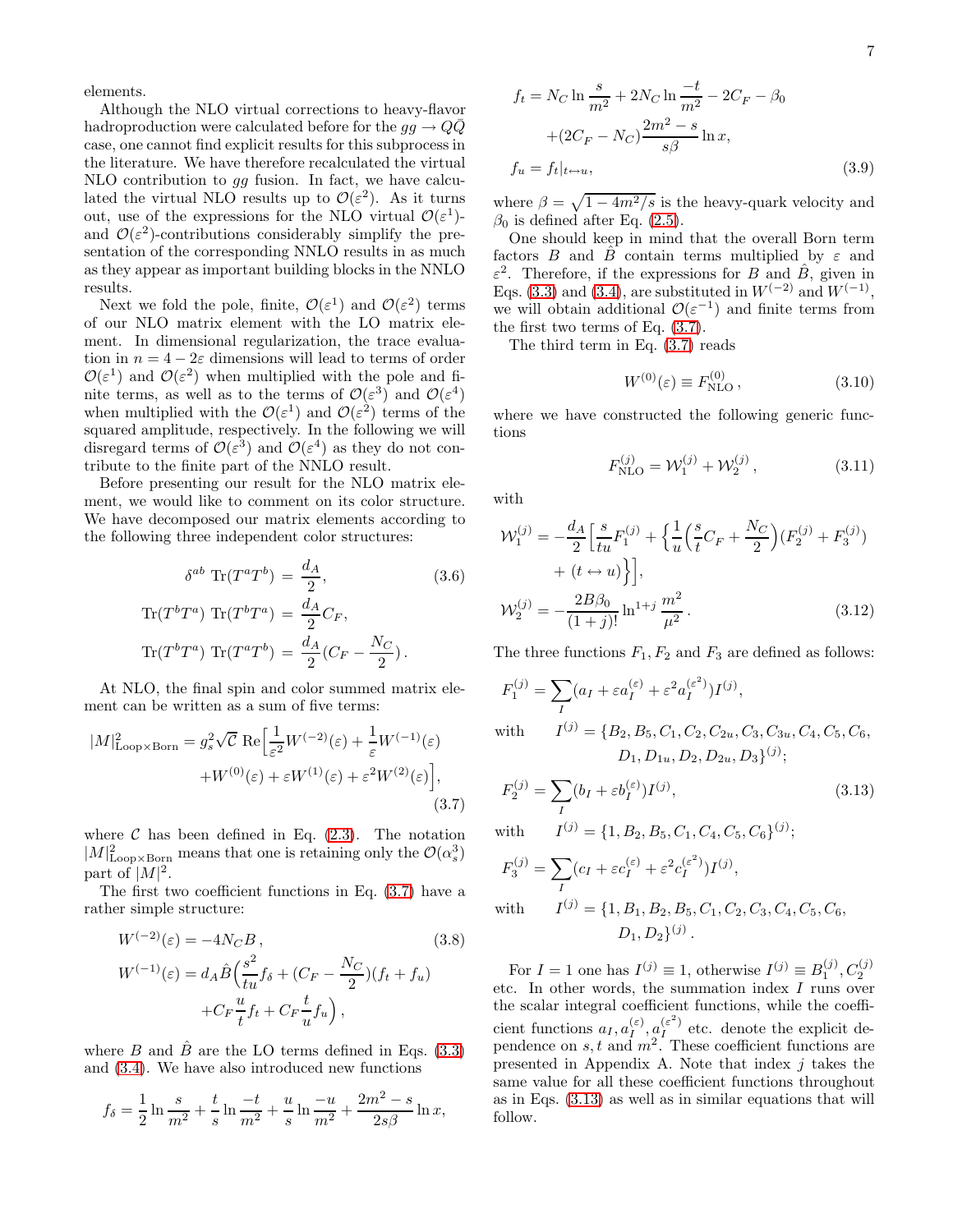elements.

Although the NLO virtual corrections to heavy-flavor hadroproduction were calculated before for the  $qq \rightarrow Q\bar{Q}$ case, one cannot find explicit results for this subprocess in the literature. We have therefore recalculated the virtual NLO contribution to gg fusion. In fact, we have calculated the virtual NLO results up to  $\mathcal{O}(\varepsilon^2)$ . As it turns out, use of the expressions for the NLO virtual  $\mathcal{O}(\varepsilon^1)$ and  $\mathcal{O}(\varepsilon^2)$ -contributions considerably simplify the presentation of the corresponding NNLO results in as much as they appear as important building blocks in the NNLO results.

Next we fold the pole, finite,  $\mathcal{O}(\varepsilon^1)$  and  $\mathcal{O}(\varepsilon^2)$  terms of our NLO matrix element with the LO matrix element. In dimensional regularization, the trace evaluation in  $n = 4 - 2\varepsilon$  dimensions will lead to terms of order  $\mathcal{O}(\varepsilon^1)$  and  $\mathcal{O}(\varepsilon^2)$  when multiplied with the pole and finite terms, as well as to the terms of  $\mathcal{O}(\varepsilon^3)$  and  $\mathcal{O}(\varepsilon^4)$ when multiplied with the  $\mathcal{O}(\varepsilon^1)$  and  $\mathcal{O}(\varepsilon^2)$  terms of the squared amplitude, respectively. In the following we will disregard terms of  $\mathcal{O}(\varepsilon^3)$  and  $\mathcal{O}(\varepsilon^4)$  as they do not contribute to the finite part of the NNLO result.

Before presenting our result for the NLO matrix element, we would like to comment on its color structure. We have decomposed our matrix elements according to the following three independent color structures:

<span id="page-6-3"></span>
$$
\delta^{ab} \operatorname{Tr}(T^a T^b) = \frac{d_A}{2},\tag{3.6}
$$

$$
\operatorname{Tr}(T^b T^a) \operatorname{Tr}(T^b T^a) = \frac{d_A}{2} C_F,
$$

$$
\operatorname{Tr}(T^b T^a) \operatorname{Tr}(T^a T^b) = \frac{d_A}{2} (C_F - \frac{N_C}{2}).
$$

At NLO, the final spin and color summed matrix element can be written as a sum of five terms:

<span id="page-6-0"></span>
$$
|M|_{\text{Loop}\times\text{Born}}^2 = g_s^2 \sqrt{\mathcal{C}} \text{ Re} \left[ \frac{1}{\varepsilon^2} W^{(-2)}(\varepsilon) + \frac{1}{\varepsilon} W^{(-1)}(\varepsilon) + W^{(0)}(\varepsilon) + \varepsilon W^{(1)}(\varepsilon) + \varepsilon^2 W^{(2)}(\varepsilon) \right],\tag{3.7}
$$

where  $\mathcal C$  has been defined in Eq. [\(2.3\)](#page-2-4). The notation  $|M|^2_{\text{Loop} \times \text{Born}}$  means that one is retaining only the  $\mathcal{O}(\alpha_s^3)$ part of  $|M|^2$ .

The first two coefficient functions in Eq. [\(3.7\)](#page-6-0) have a rather simple structure:

<span id="page-6-4"></span>
$$
W^{(-2)}(\varepsilon) = -4N_C B,
$$
\n(3.8)  
\n
$$
W^{(-1)}(\varepsilon) = d_A \hat{B} \left( \frac{s^2}{tu} f_\delta + (C_F - \frac{N_C}{2}) (f_t + f_u) + C_F \frac{u}{t} f_t + C_F \frac{t}{u} f_u \right),
$$
\n(3.8)

where B and  $\hat{B}$  are the LO terms defined in Eqs. [\(3.3\)](#page-4-1) and [\(3.4\)](#page-5-1). We have also introduced new functions

<span id="page-6-5"></span>
$$
f_{\delta} = \frac{1}{2} \ln \frac{s}{m^2} + \frac{t}{s} \ln \frac{-t}{m^2} + \frac{u}{s} \ln \frac{-u}{m^2} + \frac{2m^2 - s}{2s\beta} \ln x,
$$

$$
f_t = N_C \ln \frac{s}{m^2} + 2N_C \ln \frac{-t}{m^2} - 2C_F - \beta_0
$$

$$
+ (2C_F - N_C) \frac{2m^2 - s}{s\beta} \ln x,
$$

$$
f_u = f_t|_{t \to u}, \tag{3.9}
$$

where  $\beta = \sqrt{1 - 4m^2/s}$  is the heavy-quark velocity and  $\beta_0$  is defined after Eq. [\(2.5\)](#page-3-1).

One should keep in mind that the overall Born term factors B and  $\hat{B}$  contain terms multiplied by  $\varepsilon$  and  $\varepsilon^2$ . Therefore, if the expressions for B and  $\hat{B}$ , given in Eqs. [\(3.3\)](#page-4-1) and [\(3.4\)](#page-5-1), are substituted in  $W^{(-2)}$  and  $W^{(-1)}$ , we will obtain additional  $\mathcal{O}(\varepsilon^{-1})$  and finite terms from the first two terms of Eq. [\(3.7\)](#page-6-0).

The third term in Eq. [\(3.7\)](#page-6-0) reads

<span id="page-6-2"></span>
$$
W^{(0)}(\varepsilon) \equiv F_{\rm NLO}^{(0)} ,\qquad (3.10)
$$

where we have constructed the following generic functions

<span id="page-6-6"></span>
$$
F_{\rm NLO}^{(j)} = \mathcal{W}_1^{(j)} + \mathcal{W}_2^{(j)},\tag{3.11}
$$

with

<span id="page-6-7"></span>
$$
\mathcal{W}_1^{(j)} = -\frac{d_A}{2} \left[ \frac{s}{tu} F_1^{(j)} + \left\{ \frac{1}{u} \left( \frac{s}{t} C_F + \frac{N_C}{2} \right) (F_2^{(j)} + F_3^{(j)}) \right.\right. \\
\left. + (t \leftrightarrow u) \right\} \right],
$$
\n
$$
\mathcal{W}_2^{(j)} = -\frac{2B\beta_0}{(1+j)!} \ln^{1+j} \frac{m^2}{\mu^2}.
$$
\n(3.12)

The three functions  $F_1, F_2$  and  $F_3$  are defined as follows:

<span id="page-6-1"></span>
$$
F_1^{(j)} = \sum_I (a_I + \varepsilon a_I^{(\varepsilon)} + \varepsilon^2 a_I^{(\varepsilon^2)}) I^{(j)},
$$
  
with 
$$
I^{(j)} = \{B_2, B_5, C_1, C_2, C_{2u}, C_3, C_{3u}, C_4, C_5, C_6,
$$

$$
D_1, D_{1u}, D_2, D_{2u}, D_3\}^{(j)};
$$

$$
F_2^{(j)} = \sum_I (b_I + \varepsilon b_I^{(\varepsilon)}) I^{(j)},\tag{3.13}
$$

with  $^{(j)} = \{1, B_2, B_5, C_1, C_4, C_5, C_6\}^{(j)};$ 

$$
F_3^{(j)} = \sum_I (c_I + \varepsilon c_I^{(\varepsilon)} + \varepsilon^2 c_I^{(\varepsilon^2)}) I^{(j)},
$$
  
with 
$$
I^{(j)} = \{1, B_1, B_2, B_5, C_1, C_2, C_3, C_4, C_5, C_6,
$$

$$
D_1, D_2\}^{(j)}.
$$

For  $I = 1$  one has  $I^{(j)} \equiv 1$ , otherwise  $I^{(j)} \equiv B_1^{(j)}$ ,  $C_2^{(j)}$ etc. In other words, the summation index I runs over the scalar integral coefficient functions, while the coefficient functions  $a_I, a_I^{(\varepsilon)}, a_I^{(\varepsilon^2)}$  etc. denote the explicit dependence on  $s, t$  and  $m^2$ . These coefficient functions are presented in Appendix A. Note that index  $i$  takes the same value for all these coefficient functions throughout as in Eqs. [\(3.13\)](#page-6-1) as well as in similar equations that will follow.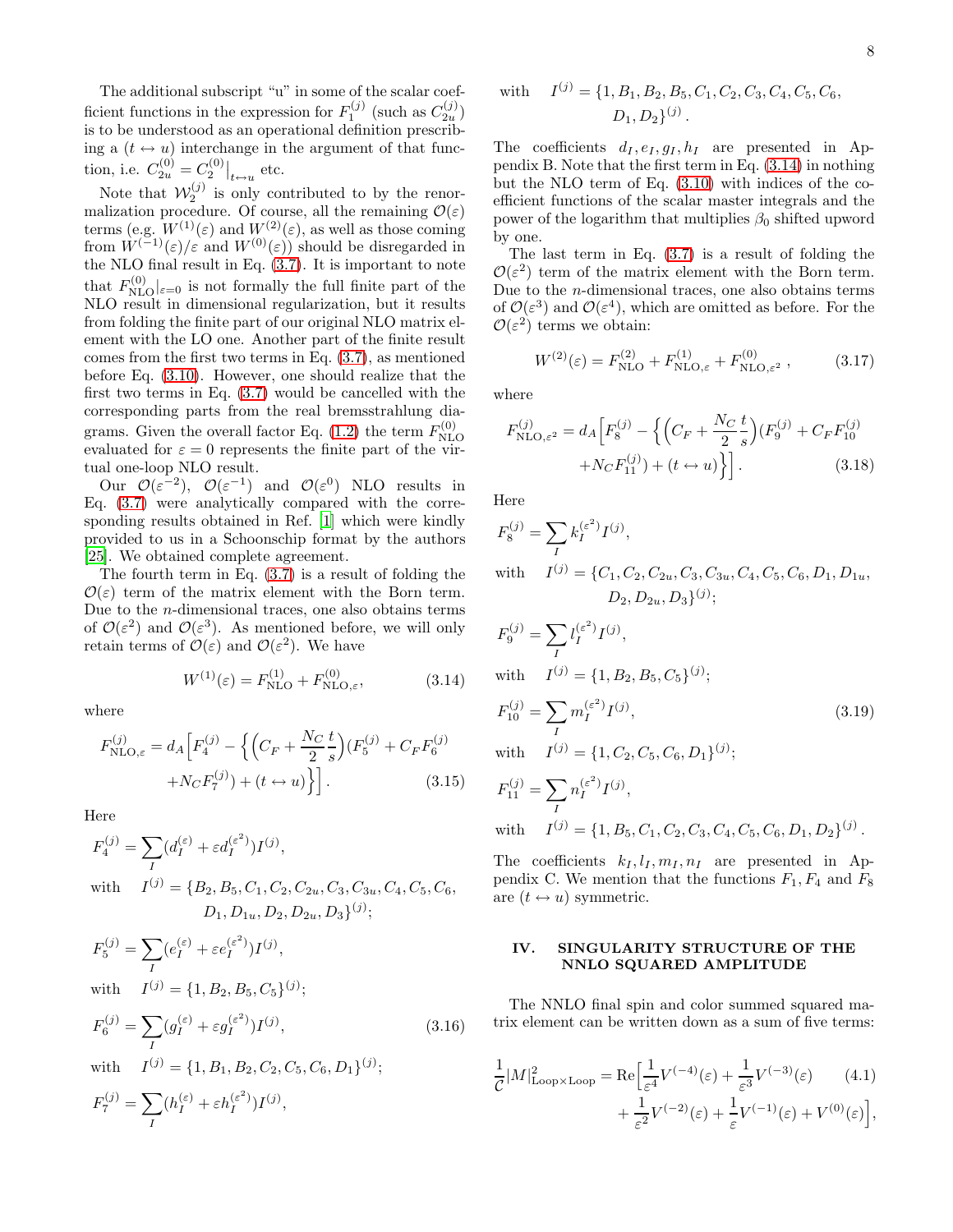The additional subscript "u" in some of the scalar coefficient functions in the expression for  $F_1^{(j)}$  (such as  $C_{2u}^{(j)}$ ) is to be understood as an operational definition prescribing a  $(t \leftrightarrow u)$  interchange in the argument of that function, i.e.  $C_{2u}^{(0)} = C_2^{(0)}|_{t \leftrightarrow u}$  etc.

Note that  $W_2^{(j)}$  is only contributed to by the renormalization procedure. Of course, all the remaining  $\mathcal{O}(\varepsilon)$ terms (e.g.  $W^{(1)}(\varepsilon)$  and  $W^{(2)}(\varepsilon)$ , as well as those coming from  $W^{(-1)}(\varepsilon)/\varepsilon$  and  $W^{(0)}(\varepsilon)$  should be disregarded in the NLO final result in Eq. [\(3.7\)](#page-6-0). It is important to note that  $F_{\text{NLO}}^{(0)}|_{\epsilon=0}$  is not formally the full finite part of the NLO result in dimensional regularization, but it results from folding the finite part of our original NLO matrix element with the LO one. Another part of the finite result comes from the first two terms in Eq. [\(3.7\)](#page-6-0), as mentioned before Eq. [\(3.10\)](#page-6-2). However, one should realize that the first two terms in Eq. [\(3.7\)](#page-6-0) would be cancelled with the corresponding parts from the real bremsstrahlung dia-grams. Given the overall factor Eq. [\(1.2\)](#page-2-2) the term  $F_{\rm NL}^{(0)}$ NLO evaluated for  $\varepsilon = 0$  represents the finite part of the virtual one-loop NLO result.

Our  $\mathcal{O}(\varepsilon^{-2})$ ,  $\mathcal{O}(\varepsilon^{-1})$  and  $\mathcal{O}(\varepsilon^{0})$  NLO results in Eq. [\(3.7\)](#page-6-0) were analytically compared with the corresponding results obtained in Ref. [\[1\]](#page-14-0) which were kindly provided to us in a Schoonschip format by the authors [\[25\]](#page-15-20). We obtained complete agreement.

The fourth term in Eq. [\(3.7\)](#page-6-0) is a result of folding the  $\mathcal{O}(\varepsilon)$  term of the matrix element with the Born term. Due to the n-dimensional traces, one also obtains terms of  $\mathcal{O}(\varepsilon^2)$  and  $\mathcal{O}(\varepsilon^3)$ . As mentioned before, we will only retain terms of  $\mathcal{O}(\varepsilon)$  and  $\mathcal{O}(\varepsilon^2)$ . We have

<span id="page-7-1"></span>
$$
W^{(1)}(\varepsilon) = F_{\text{NLO}}^{(1)} + F_{\text{NLO},\varepsilon}^{(0)},
$$
\n(3.14)

where

$$
F_{\text{NLO},\varepsilon}^{(j)} = d_A \Big[ F_4^{(j)} - \Big\{ \Big( C_F + \frac{N_C}{2} \frac{t}{s} \Big) (F_5^{(j)} + C_F F_6^{(j)} + N_C F_7^{(j)}) + (t \leftrightarrow u) \Big\} \Big].
$$
\n(3.15)

Here

<span id="page-7-4"></span>
$$
F_4^{(j)} = \sum_I (d_I^{(\varepsilon)} + \varepsilon d_I^{(\varepsilon^2)}) I^{(j)},
$$
  
with 
$$
I^{(j)} = \{B_2, B_5, C_1, C_2, C_{2u}, C_3, C_{3u}, C_4, C_5, C_6,
$$

$$
D_1, D_{1u}, D_2, D_{2u}, D_3\}^{(j)};
$$

$$
F_5^{(j)} = \sum_{I} (e_I^{(\varepsilon)} + \varepsilon e_I^{(\varepsilon^2)}) I^{(j)},
$$
  
\nwith 
$$
I^{(j)} = \{1, B_2, B_5, C_5\}^{(j)};
$$
  
\n
$$
F_6^{(j)} = \sum_{I} (g_I^{(\varepsilon)} + \varepsilon g_I^{(\varepsilon^2)}) I^{(j)},
$$
  
\nwith 
$$
I^{(j)} = \{1, B_1, B_2, C_2, C_5, C_6, D_1\}^{(j)};
$$
  
\n
$$
F_7^{(j)} = \sum_{I} (h_I^{(\varepsilon)} + \varepsilon h_I^{(\varepsilon^2)}) I^{(j)},
$$
\n(3.16)

with 
$$
I^{(j)} = \{1, B_1, B_2, B_5, C_1, C_2, C_3, C_4, C_5, C_6,
$$
  
 $D_1, D_2\}^{(j)}$ .

The coefficients  $d_I, e_I, g_I, h_I$  are presented in Appendix B. Note that the first term in Eq. [\(3.14\)](#page-7-1) in nothing but the NLO term of Eq. [\(3.10\)](#page-6-2) with indices of the coefficient functions of the scalar master integrals and the power of the logarithm that multiplies  $\beta_0$  shifted upword by one.

The last term in Eq.  $(3.7)$  is a result of folding the  $\mathcal{O}(\varepsilon^2)$  term of the matrix element with the Born term. Due to the  $n$ -dimensional traces, one also obtains terms of  $\mathcal{O}(\varepsilon^3)$  and  $\mathcal{O}(\varepsilon^4)$ , which are omitted as before. For the  $\mathcal{O}(\varepsilon^2)$  terms we obtain:

<span id="page-7-3"></span>
$$
W^{(2)}(\varepsilon) = F_{\text{NLO}}^{(2)} + F_{\text{NLO},\varepsilon}^{(1)} + F_{\text{NLO},\varepsilon^2}^{(0)} ,\qquad (3.17)
$$

where

$$
F_{\rm NLO,\varepsilon^2}^{(j)} = d_A \Big[ F_8^{(j)} - \Big\{ \Big( C_F + \frac{N_C}{2} \frac{t}{s} \Big) (F_9^{(j)} + C_F F_{10}^{(j)} + N_C F_{11}^{(j)}) + (t \leftrightarrow u) \Big\} \Big].
$$
 (3.18)

Here

<span id="page-7-5"></span>
$$
F_8^{(j)} = \sum_I k_I^{(\varepsilon^2)} I^{(j)},
$$
  
with 
$$
I^{(j)} = \{C_1, C_2, C_{2u}, C_3, C_{3u}, C_4, C_5, C_6, D_1, D_{1u}, D_2, D_{2u}, D_3\}^{(j)};
$$

$$
F_9^{(j)} = \sum_I l_I^{(\varepsilon^2)} I^{(j)},
$$
  
with 
$$
I^{(j)} = \{1, B_2, B_5, C_5\}^{(j)};
$$

$$
F_{10}^{(j)} = \sum_I m_I^{(\varepsilon^2)} I^{(j)},
$$
(3.19)

with  $^{(j)} = \{1, C_2, C_5, C_6, D_1\}^{(j)};$ 

$$
F_{11}^{(j)} = \sum_{I} n_I^{(\varepsilon^2)} I^{(j)},
$$
  
with 
$$
I^{(j)} = \{1, B_5, C_1, C_2, C_3, C_4, C_5, C_6, D_1, D_2\}^{(j)}.
$$

The coefficients  $k_I, l_I, m_I, n_I$  are presented in Appendix C. We mention that the functions  $F_1, F_4$  and  $F_8$ are  $(t \leftrightarrow u)$  symmetric.

#### <span id="page-7-0"></span>IV. SINGULARITY STRUCTURE OF THE NNLO SQUARED AMPLITUDE

The NNLO final spin and color summed squared matrix element can be written down as a sum of five terms:

<span id="page-7-2"></span>
$$
\frac{1}{\mathcal{C}}|M|_{\mathrm{Loop}\times\mathrm{Loop}}^2 = \mathrm{Re}\Big[\frac{1}{\varepsilon^4}V^{(-4)}(\varepsilon) + \frac{1}{\varepsilon^3}V^{(-3)}(\varepsilon) \qquad (4.1) \qquad \qquad + \frac{1}{\varepsilon^2}V^{(-2)}(\varepsilon) + \frac{1}{\varepsilon}V^{(-1)}(\varepsilon) + V^{(0)}(\varepsilon)\Big],
$$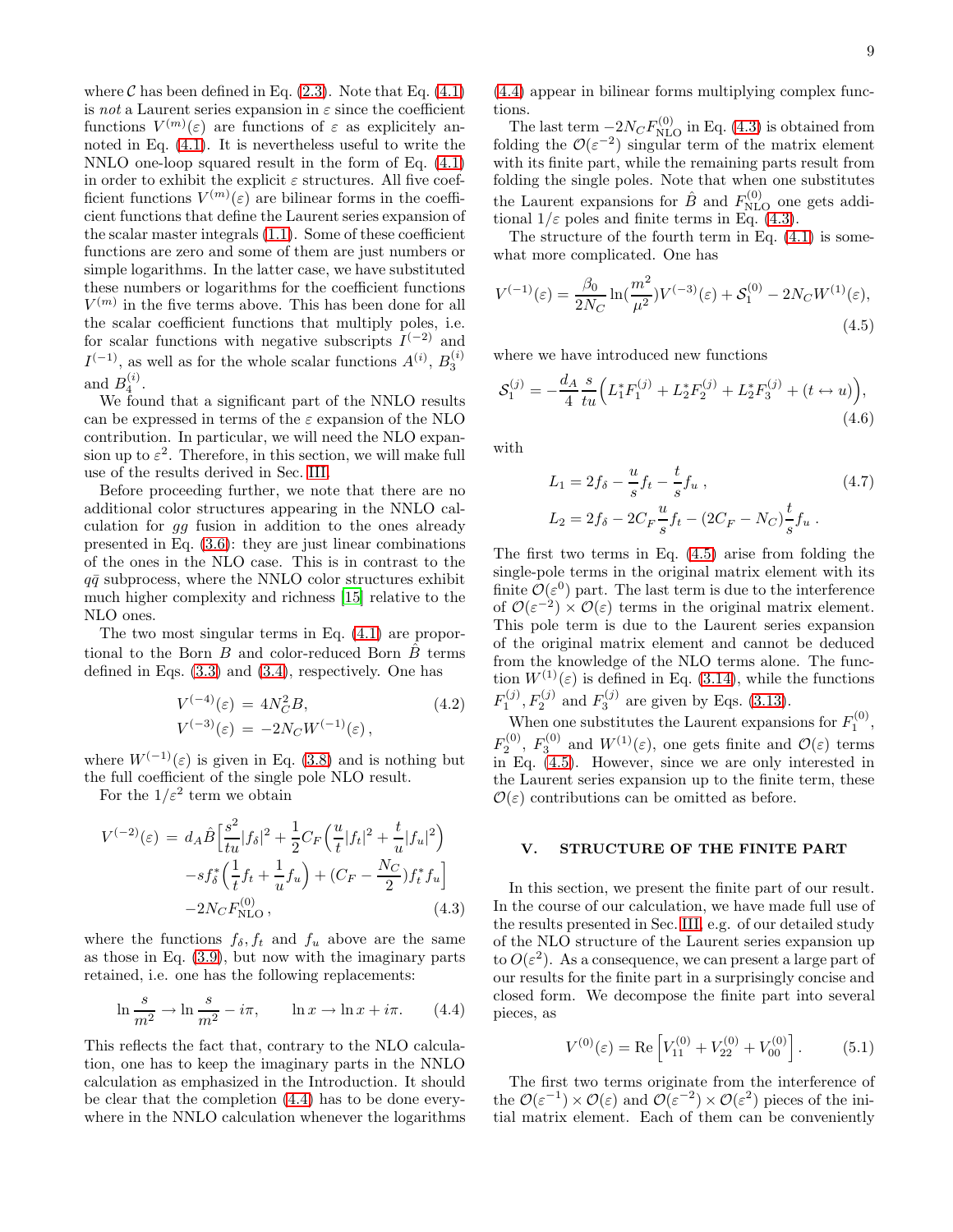where  $\mathcal C$  has been defined in Eq. [\(2.3\)](#page-2-4). Note that Eq. [\(4.1\)](#page-7-2) is not a Laurent series expansion in  $\varepsilon$  since the coefficient functions  $V^{(m)}(\varepsilon)$  are functions of  $\varepsilon$  as explicitely annoted in Eq. [\(4.1\)](#page-7-2). It is nevertheless useful to write the NNLO one-loop squared result in the form of Eq. [\(4.1\)](#page-7-2) in order to exhibit the explicit  $\varepsilon$  structures. All five coefficient functions  $V^{(m)}(\varepsilon)$  are bilinear forms in the coefficient functions that define the Laurent series expansion of the scalar master integrals [\(1.1\)](#page-2-3). Some of these coefficient functions are zero and some of them are just numbers or simple logarithms. In the latter case, we have substituted these numbers or logarithms for the coefficient functions  $V^{(m)}$  in the five terms above. This has been done for all the scalar coefficient functions that multiply poles, i.e. for scalar functions with negative subscripts  $I^{(-2)}$  and  $I^{(-1)}$ , as well as for the whole scalar functions  $A^{(i)}$ ,  $B_3^{(i)}$ and  $B_4^{(i)}$ .

We found that a significant part of the NNLO results can be expressed in terms of the  $\varepsilon$  expansion of the NLO contribution. In particular, we will need the NLO expansion up to  $\varepsilon^2$ . Therefore, in this section, we will make full use of the results derived in Sec. [III.](#page-4-0)

Before proceeding further, we note that there are no additional color structures appearing in the NNLO calculation for gg fusion in addition to the ones already presented in Eq. [\(3.6\)](#page-6-3): they are just linear combinations of the ones in the NLO case. This is in contrast to the  $q\bar{q}$  subprocess, where the NNLO color structures exhibit much higher complexity and richness [\[15\]](#page-15-10) relative to the NLO ones.

The two most singular terms in Eq. [\(4.1\)](#page-7-2) are proportional to the Born  $B$  and color-reduced Born  $\hat{B}$  terms defined in Eqs. [\(3.3\)](#page-4-1) and [\(3.4\)](#page-5-1), respectively. One has

$$
V^{(-4)}(\varepsilon) = 4N_C^2 B,
$$
\n
$$
V^{(-3)}(\varepsilon) = -2N_C W^{(-1)}(\varepsilon),
$$
\n(4.2)

where  $W^{(-1)}(\varepsilon)$  is given in Eq. [\(3.8\)](#page-6-4) and is nothing but the full coefficient of the single pole NLO result.

For the  $1/\varepsilon^2$  term we obtain

<span id="page-8-2"></span>
$$
V^{(-2)}(\varepsilon) = d_A \hat{B} \left[ \frac{s^2}{tu} |f_\delta|^2 + \frac{1}{2} C_F \left( \frac{u}{t} |f_t|^2 + \frac{t}{u} |f_u|^2 \right) -sf_s^* \left( \frac{1}{t} f_t + \frac{1}{u} f_u \right) + (C_F - \frac{N_C}{2}) f_t^* f_u \right] - 2N_C F_{\text{NLO}}^{(0)},
$$
(4.3)

where the functions  $f_{\delta}$ ,  $f_t$  and  $f_u$  above are the same as those in Eq. [\(3.9\)](#page-6-5), but now with the imaginary parts retained, i.e. one has the following replacements:

<span id="page-8-1"></span>
$$
\ln \frac{s}{m^2} \to \ln \frac{s}{m^2} - i\pi, \qquad \ln x \to \ln x + i\pi. \tag{4.4}
$$

This reflects the fact that, contrary to the NLO calculation, one has to keep the imaginary parts in the NNLO calculation as emphasized in the Introduction. It should be clear that the completion [\(4.4\)](#page-8-1) has to be done everywhere in the NNLO calculation whenever the logarithms

[\(4.4\)](#page-8-1) appear in bilinear forms multiplying complex functions.

The last term  $-2N_C F_{\text{NLO}}^{(0)}$  in Eq. [\(4.3\)](#page-8-2) is obtained from folding the  $\mathcal{O}(\varepsilon^{-2})$  singular term of the matrix element with its finite part, while the remaining parts result from folding the single poles. Note that when one substitutes the Laurent expansions for  $\hat{B}$  and  $F_{\text{NLO}}^{(0)}$  one gets additional  $1/\varepsilon$  poles and finite terms in Eq. [\(4.3\)](#page-8-2).

The structure of the fourth term in Eq. [\(4.1\)](#page-7-2) is somewhat more complicated. One has

<span id="page-8-3"></span>
$$
V^{(-1)}(\varepsilon) = \frac{\beta_0}{2N_C} \ln(\frac{m^2}{\mu^2}) V^{(-3)}(\varepsilon) + \mathcal{S}_1^{(0)} - 2N_C W^{(1)}(\varepsilon),
$$
\n(4.5)

where we have introduced new functions

$$
S_1^{(j)} = -\frac{d_A}{4} \frac{s}{tu} \Big( L_1^* F_1^{(j)} + L_2^* F_2^{(j)} + L_2^* F_3^{(j)} + (t \leftrightarrow u) \Big),\tag{4.6}
$$

with

$$
L_1 = 2f_\delta - \frac{u}{s}f_t - \frac{t}{s}f_u,
$$
  
\n
$$
L_2 = 2f_\delta - 2C_F \frac{u}{s}f_t - (2C_F - N_C)\frac{t}{s}f_u.
$$
\n(4.7)

The first two terms in Eq. [\(4.5\)](#page-8-3) arise from folding the single-pole terms in the original matrix element with its finite  $\mathcal{O}(\varepsilon^0)$  part. The last term is due to the interference of  $\mathcal{O}(\varepsilon^{-2}) \times \mathcal{O}(\varepsilon)$  terms in the original matrix element. This pole term is due to the Laurent series expansion of the original matrix element and cannot be deduced from the knowledge of the NLO terms alone. The function  $W^{(1)}(\varepsilon)$  is defined in Eq. [\(3.14\)](#page-7-1), while the functions  $F_1^{(j)}$ ,  $F_2^{(j)}$  and  $F_3^{(j)}$  are given by Eqs. [\(3.13\)](#page-6-1).

When one substitutes the Laurent expansions for  $F_1^{(0)}$ ,  $F_2^{(0)}$ ,  $F_3^{(0)}$  and  $W^{(1)}(\varepsilon)$ , one gets finite and  $\mathcal{O}(\varepsilon)$  terms in Eq. [\(4.5\)](#page-8-3). However, since we are only interested in the Laurent series expansion up to the finite term, these  $\mathcal{O}(\varepsilon)$  contributions can be omitted as before.

#### <span id="page-8-0"></span>V. STRUCTURE OF THE FINITE PART

In this section, we present the finite part of our result. In the course of our calculation, we have made full use of the results presented in Sec. [III,](#page-4-0) e.g. of our detailed study of the NLO structure of the Laurent series expansion up to  $O(\varepsilon^2)$ . As a consequence, we can present a large part of our results for the finite part in a surprisingly concise and closed form. We decompose the finite part into several pieces, as

<span id="page-8-4"></span>
$$
V^{(0)}(\varepsilon) = \text{Re}\left[V_{11}^{(0)} + V_{22}^{(0)} + V_{00}^{(0)}\right].
$$
 (5.1)

The first two terms originate from the interference of the  $\mathcal{O}(\varepsilon^{-1}) \times \mathcal{O}(\varepsilon)$  and  $\mathcal{O}(\varepsilon^{-2}) \times \mathcal{O}(\varepsilon^2)$  pieces of the initial matrix element. Each of them can be conveniently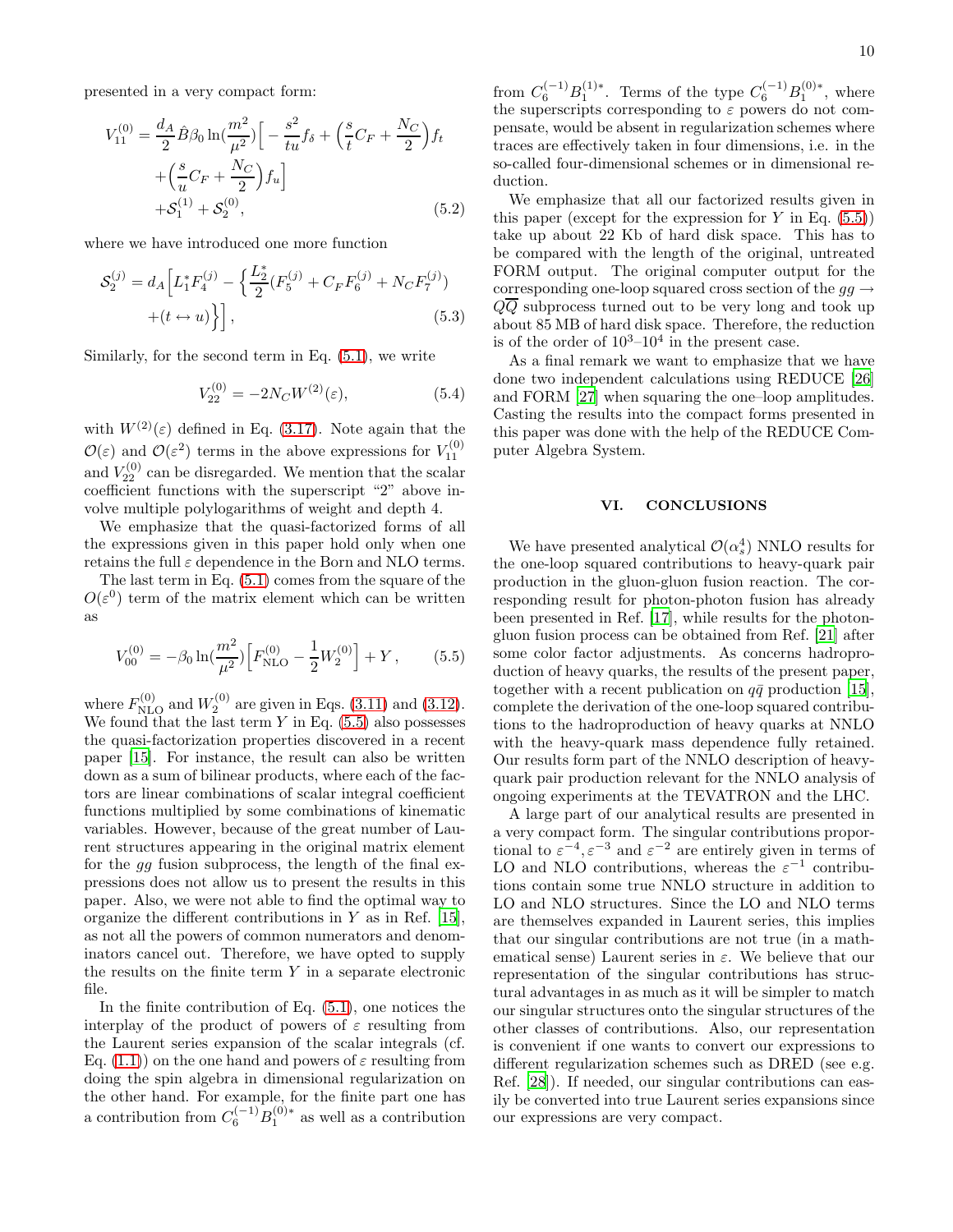presented in a very compact form:

$$
V_{11}^{(0)} = \frac{d_A}{2} \hat{B} \beta_0 \ln(\frac{m^2}{\mu^2}) \Big[ -\frac{s^2}{tu} f_\delta + \Big(\frac{s}{t} C_F + \frac{N_C}{2}\Big) f_t + \Big(\frac{s}{u} C_F + \frac{N_C}{2}\Big) f_u \Big] + \mathcal{S}_1^{(1)} + \mathcal{S}_2^{(0)},
$$
(5.2)

where we have introduced one more function

$$
\mathcal{S}_2^{(j)} = d_A \Big[ L_1^* F_4^{(j)} - \Big\{ \frac{L_2^*}{2} (F_5^{(j)} + C_F F_6^{(j)} + N_C F_7^{(j)}) + (t \leftrightarrow u) \Big\} \Big], \tag{5.3}
$$

Similarly, for the second term in Eq. [\(5.1\)](#page-8-4), we write

$$
V_{22}^{(0)} = -2N_C W^{(2)}(\varepsilon),\tag{5.4}
$$

with  $W^{(2)}(\varepsilon)$  defined in Eq. [\(3.17\)](#page-7-3). Note again that the  $\mathcal{O}(\varepsilon)$  and  $\mathcal{O}(\varepsilon^2)$  terms in the above expressions for  $V_{11}^{(0)}$ and  $V_{22}^{(0)}$  can be disregarded. We mention that the scalar coefficient functions with the superscript "2" above involve multiple polylogarithms of weight and depth 4.

We emphasize that the quasi-factorized forms of all the expressions given in this paper hold only when one retains the full  $\varepsilon$  dependence in the Born and NLO terms.

The last term in Eq. [\(5.1\)](#page-8-4) comes from the square of the  $O(\varepsilon^0)$  term of the matrix element which can be written as

<span id="page-9-1"></span>
$$
V_{00}^{(0)} = -\beta_0 \ln(\frac{m^2}{\mu^2}) \Big[ F_{\text{NLO}}^{(0)} - \frac{1}{2} W_2^{(0)} \Big] + Y \,, \tag{5.5}
$$

where  $F_{\rm NLO}^{(0)}$  and  $W_2^{(0)}$  are given in Eqs. [\(3.11\)](#page-6-6) and [\(3.12\)](#page-6-7). We found that the last term  $Y$  in Eq.  $(5.5)$  also possesses the quasi-factorization properties discovered in a recent paper [\[15](#page-15-10)]. For instance, the result can also be written down as a sum of bilinear products, where each of the factors are linear combinations of scalar integral coefficient functions multiplied by some combinations of kinematic variables. However, because of the great number of Laurent structures appearing in the original matrix element for the gg fusion subprocess, the length of the final expressions does not allow us to present the results in this paper. Also, we were not able to find the optimal way to organize the different contributions in  $Y$  as in Ref. [\[15\]](#page-15-10), as not all the powers of common numerators and denominators cancel out. Therefore, we have opted to supply the results on the finite term  $Y$  in a separate electronic file.

In the finite contribution of Eq.  $(5.1)$ , one notices the interplay of the product of powers of  $\varepsilon$  resulting from the Laurent series expansion of the scalar integrals (cf. Eq. [\(1.1\)](#page-2-3)) on the one hand and powers of  $\varepsilon$  resulting from doing the spin algebra in dimensional regularization on the other hand. For example, for the finite part one has a contribution from  $C_6^{(-1)}B_1^{(0)*}$  as well as a contribution

from  $C_6^{(-1)}B_1^{(1)*}$ . Terms of the type  $C_6^{(-1)}B_1^{(0)*}$ , where the superscripts corresponding to  $\varepsilon$  powers do not compensate, would be absent in regularization schemes where traces are effectively taken in four dimensions, i.e. in the so-called four-dimensional schemes or in dimensional reduction.

We emphasize that all our factorized results given in this paper (except for the expression for Y in Eq.  $(5.5)$ ) take up about 22 Kb of hard disk space. This has to be compared with the length of the original, untreated FORM output. The original computer output for the corresponding one-loop squared cross section of the  $gg \rightarrow$  $Q\overline{Q}$  subprocess turned out to be very long and took up about 85 MB of hard disk space. Therefore, the reduction is of the order of  $10^3-10^4$  in the present case.

As a final remark we want to emphasize that we have done two independent calculations using REDUCE [\[26](#page-15-21)] and FORM [\[27](#page-15-22)] when squaring the one–loop amplitudes. Casting the results into the compact forms presented in this paper was done with the help of the REDUCE Computer Algebra System.

#### <span id="page-9-0"></span>VI. CONCLUSIONS

We have presented analytical  $\mathcal{O}(\alpha_s^4)$  NNLO results for the one-loop squared contributions to heavy-quark pair production in the gluon-gluon fusion reaction. The corresponding result for photon-photon fusion has already been presented in Ref. [\[17\]](#page-15-12), while results for the photongluon fusion process can be obtained from Ref. [\[21](#page-15-16)] after some color factor adjustments. As concerns hadroproduction of heavy quarks, the results of the present paper, together with a recent publication on  $q\bar{q}$  production [\[15\]](#page-15-10), complete the derivation of the one-loop squared contributions to the hadroproduction of heavy quarks at NNLO with the heavy-quark mass dependence fully retained. Our results form part of the NNLO description of heavyquark pair production relevant for the NNLO analysis of ongoing experiments at the TEVATRON and the LHC.

A large part of our analytical results are presented in a very compact form. The singular contributions proportional to  $\varepsilon^{-4}, \varepsilon^{-3}$  and  $\varepsilon^{-2}$  are entirely given in terms of LO and NLO contributions, whereas the  $\varepsilon^{-1}$  contributions contain some true NNLO structure in addition to LO and NLO structures. Since the LO and NLO terms are themselves expanded in Laurent series, this implies that our singular contributions are not true (in a mathematical sense) Laurent series in  $\varepsilon$ . We believe that our representation of the singular contributions has structural advantages in as much as it will be simpler to match our singular structures onto the singular structures of the other classes of contributions. Also, our representation is convenient if one wants to convert our expressions to different regularization schemes such as DRED (see e.g. Ref. [\[28\]](#page-15-23)). If needed, our singular contributions can easily be converted into true Laurent series expansions since our expressions are very compact.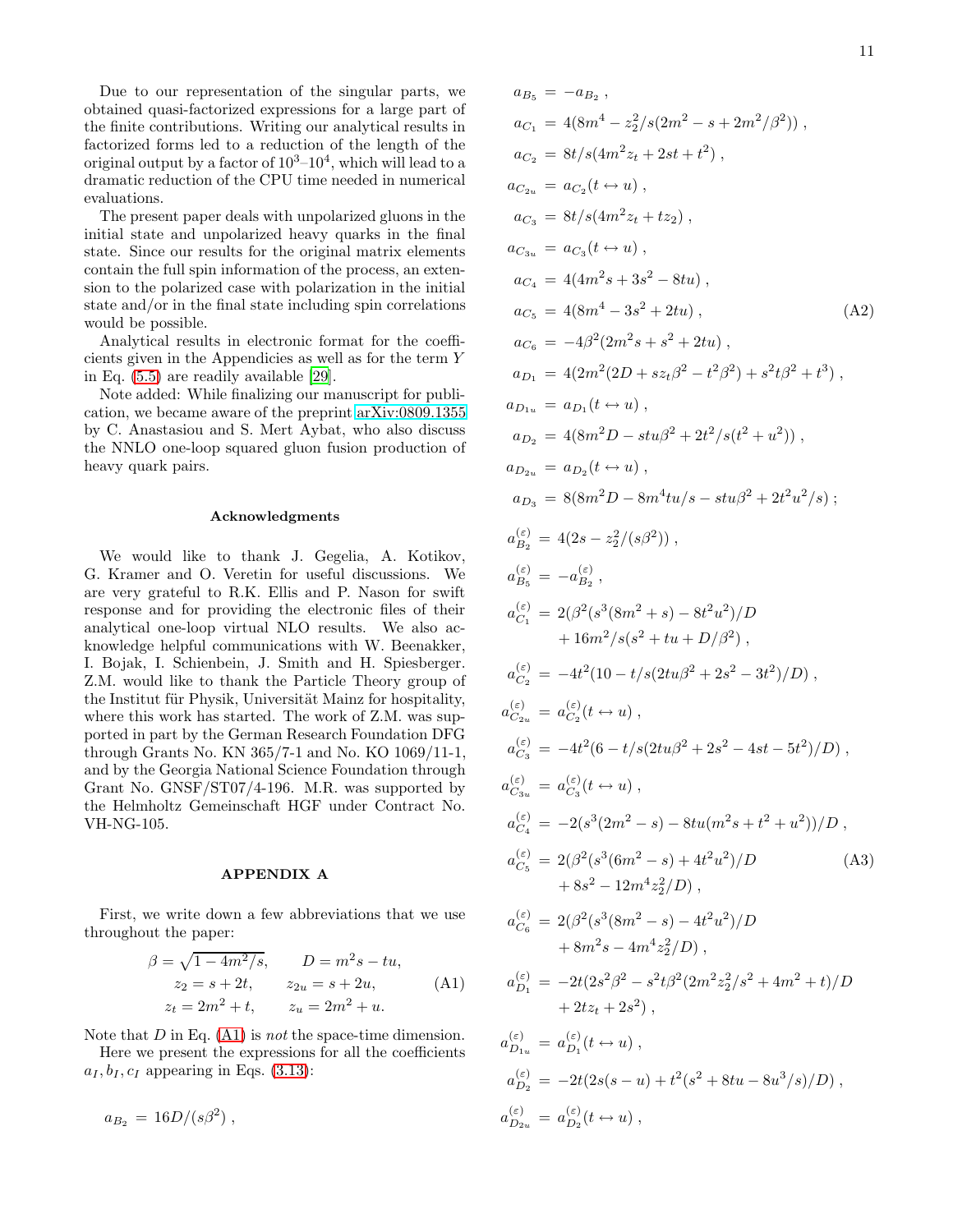11

Due to our representation of the singular parts, we obtained quasi-factorized expressions for a large part of the finite contributions. Writing our analytical results in factorized forms led to a reduction of the length of the original output by a factor of  $10^3 - 10^4$ , which will lead to a dramatic reduction of the CPU time needed in numerical evaluations.

The present paper deals with unpolarized gluons in the initial state and unpolarized heavy quarks in the final state. Since our results for the original matrix elements contain the full spin information of the process, an extension to the polarized case with polarization in the initial state and/or in the final state including spin correlations would be possible.

Analytical results in electronic format for the coefficients given in the Appendicies as well as for the term Y in Eq. [\(5.5\)](#page-9-1) are readily available [\[29\]](#page-15-24).

Note added: While finalizing our manuscript for publication, we became aware of the preprint [arXiv:0809.1355](http://arXiv.org/abs/0809.1355) by C. Anastasiou and S. Mert Aybat, who also discuss the NNLO one-loop squared gluon fusion production of heavy quark pairs.

#### Acknowledgments

We would like to thank J. Gegelia, A. Kotikov, G. Kramer and O. Veretin for useful discussions. We are very grateful to R.K. Ellis and P. Nason for swift response and for providing the electronic files of their analytical one-loop virtual NLO results. We also acknowledge helpful communications with W. Beenakker, I. Bojak, I. Schienbein, J. Smith and H. Spiesberger. Z.M. would like to thank the Particle Theory group of the Institut für Physik, Universität Mainz for hospitality, where this work has started. The work of Z.M. was supported in part by the German Research Foundation DFG through Grants No. KN 365/7-1 and No. KO 1069/11-1, and by the Georgia National Science Foundation through Grant No. GNSF/ST07/4-196. M.R. was supported by the Helmholtz Gemeinschaft HGF under Contract No. VH-NG-105.

#### APPENDIX A

First, we write down a few abbreviations that we use throughout the paper:

<span id="page-10-0"></span>
$$
\beta = \sqrt{1 - 4m^2/s}, \qquad D = m^2s - tu,
$$
  
\n
$$
z_2 = s + 2t, \qquad z_{2u} = s + 2u,
$$
  
\n
$$
z_t = 2m^2 + t, \qquad z_u = 2m^2 + u.
$$
\n(A1)

Note that  $D$  in Eq. [\(A1\)](#page-10-0) is *not* the space-time dimension.

Here we present the expressions for all the coefficients  $a_I, b_I, c_I$  appearing in Eqs. [\(3.13\)](#page-6-1):

$$
a_{B_2} = 16D/(s\beta^2) ,
$$

$$
a_{B_{5}} = -a_{B_{2}},
$$
  
\n
$$
a_{C_{1}} = 4(8m^{4} - z_{2}^{2}/s(2m^{2} - s + 2m^{2}/\beta^{2})) ,
$$
  
\n
$$
a_{C_{2}} = 8t/s(4m^{2}z_{t} + 2st + t^{2}) ,
$$
  
\n
$$
a_{C_{2u}} = a_{C_{2}}(t \leftrightarrow u) ,
$$
  
\n
$$
a_{C_{3}} = 8t/s(4m^{2}z_{t} + tz_{2}) ,
$$
  
\n
$$
a_{C_{3}} = a_{C_{3}}(t \leftrightarrow u) ,
$$
  
\n
$$
a_{C_{4}} = 4(4m^{2}s + 3s^{2} - 8tu) ,
$$
  
\n
$$
a_{C_{5}} = 4(8m^{4} - 3s^{2} + 2tu) ,
$$
  
\n
$$
a_{D_{1}} = 4(2m^{2}(2D + sz_{t}\beta^{2} - t^{2}\beta^{2}) + s^{2}t\beta^{2} + t^{3}) ,
$$
  
\n
$$
a_{D_{1}} = 4(2m^{2}(2D + sz_{t}\beta^{2} - t^{2}\beta^{2}) + s^{2}t\beta^{2} + t^{3}) ,
$$
  
\n
$$
a_{D_{1}} = a_{D_{1}}(t \leftrightarrow u) ,
$$
  
\n
$$
a_{D_{2}} = 4(8m^{2}D - stu\beta^{2} + 2t^{2}/s(t^{2} + u^{2}) ) ,
$$
  
\n
$$
a_{D_{2}} = a_{D_{2}}(t \leftrightarrow u) ,
$$
  
\n
$$
a_{D_{3}} = 8(8m^{2}D - 8m^{4}tu/s - stu\beta^{2} + 2t^{2}u^{2}/s) ;
$$
  
\n
$$
a_{B_{2}}^{(s)} = 4(2s - z_{2}^{2}/(s\beta^{2})) ,
$$
  
\n
$$
a_{D_{5}}^{(s)} = a_{D_{2}}^{(s)} ,
$$
  
\n
$$
a_{C_{1}}^{(s)} = 2(\beta^{2}(s^{3}(8m^{2} + s) - 8t^{2}u^{2})/D + 16m^{2}/s(s^{2} + tu + D/\beta^{2}) ,
$$

$$
a_{D_2}^{(\varepsilon)} = -2t(2s(s-u) + t^2(s^2 + 8tu - 8u^3/s)/D),
$$
  
\n
$$
a_{D_{2u}}^{(\varepsilon)} = a_{D_2}^{(\varepsilon)}(t \leftrightarrow u),
$$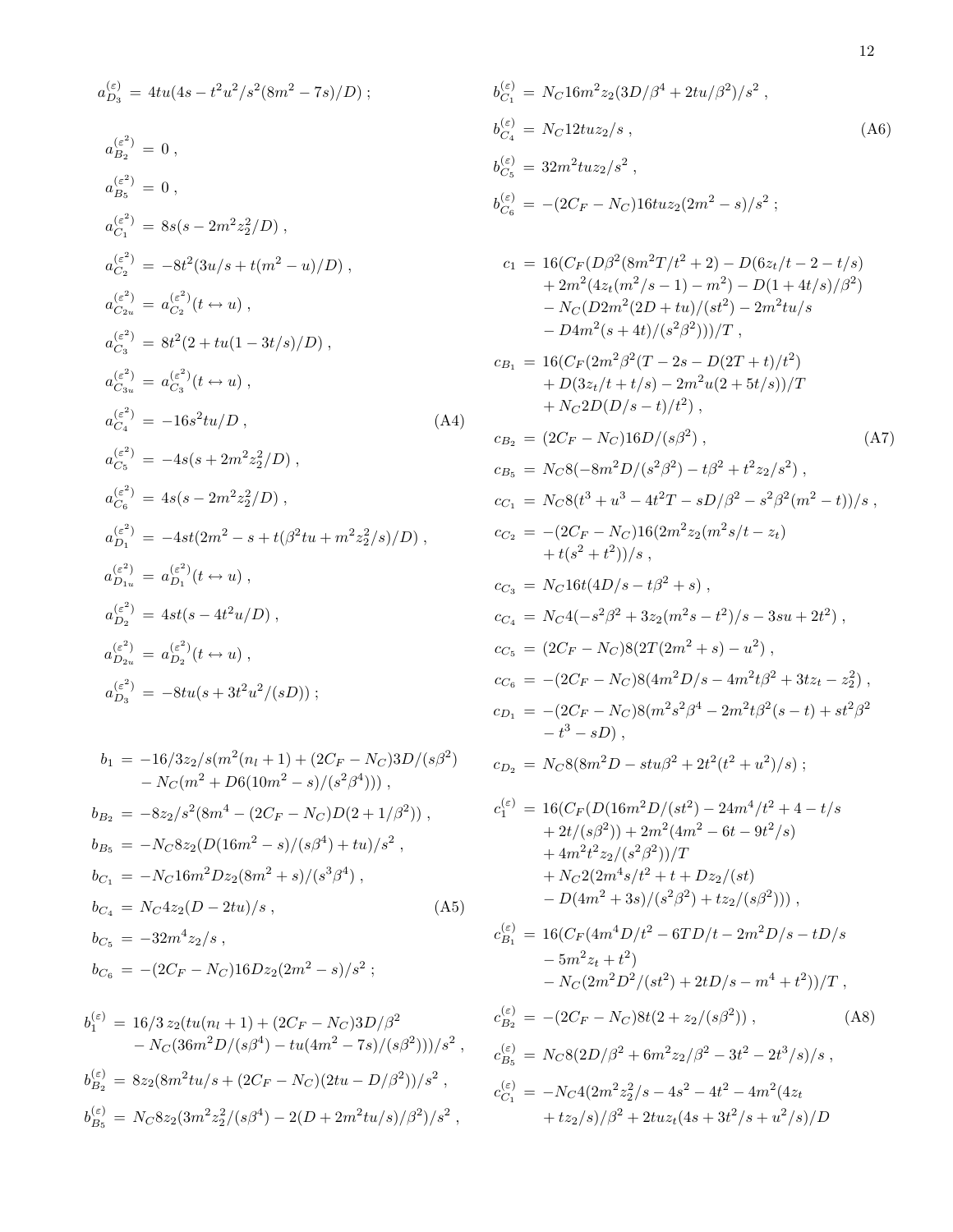$$
a_{D_3}^{(\varepsilon)} = 4tu(4s - t^2u^2/s^2(8m^2 - 7s)/D);
$$
\n
$$
b_{C_1}^{(\varepsilon)} = N_0
$$
\n
$$
a_{B_2}^{(\varepsilon^2)} = 0,
$$
\n
$$
a_{B_3}^{(\varepsilon^2)} = 0,
$$
\n
$$
b_{C_4}^{(\varepsilon^2)} = 8s(s - 2m^2z_2^2/D),
$$
\n
$$
b_{C_5}^{(\varepsilon)} = 32;
$$
\n
$$
b_{C_6}^{(\varepsilon)} = -\left( \frac{e^2}{C_1}\right) = 8s(s - 2m^2z_2^2/D),
$$
\n
$$
a_{C_2}^{(\varepsilon^2)} = -8t^2(3u/s + t(m^2 - u)/D),
$$
\n
$$
a_{C_3}^{(\varepsilon^2)} = 8t^2(2 + tu(1 - 3t/s)/D),
$$
\n
$$
a_{C_3}^{(\varepsilon^2)} = 8t^2(2 + tu(1 - 3t/s)/D),
$$
\n
$$
a_{C_4}^{(\varepsilon^2)} = -16s^2tu/D,
$$
\n
$$
a_{C_5}^{(\varepsilon^2)} = -4s(s + 2m^2z_2^2/D),
$$
\n
$$
a_{C_6}^{(\varepsilon^2)} = 4s(s - 2m^2z_2^2/D),
$$
\n
$$
a_{D_{1u}}^{(\varepsilon^2)} = 4s(s - 2m^2z_2^2/D),
$$
\n
$$
a_{D_{1u}}^{(\varepsilon^2)} = -4st(2m^2 - s + t(\beta^2tu + m^2z_2^2/s)/D),
$$
\n
$$
a_{D_{1u}}^{(\varepsilon^2)} = 4st(s - 4t^2u/D),
$$
\n
$$
a_{D_{2u}}^{(\varepsilon^2)} = 4st(s - 4t^2u/D),
$$
\n
$$
a_{D_{2u}}^{(\varepsilon^2)} = 4st(s - 4t^2u/D),
$$
\n
$$
a_{D_{2u}}^{(\varepsilon^2)} = -8tu(s + 3t^2u^2/(sD));
$$
\n

$$
b_1 = -16/3z_2/s(m^2(n_l + 1) + (2C_F - N_C)3D/(s\beta^2)
$$
  
\n
$$
- N_C(m^2 + D6(10m^2 - s)/(s^2\beta^4))) ,
$$
  
\n
$$
b_{B_2} = -8z_2/s^2(8m^4 - (2C_F - N_C)D(2 + 1/\beta^2)) ,
$$
  
\n
$$
b_{B_5} = -N_C8z_2(D(16m^2 - s)/(s\beta^4) + tu)/s^2 ,
$$
  
\n
$$
b_{C_1} = -N_C16m^2Dz_2(8m^2 + s)/(s^3\beta^4) ,
$$
  
\n
$$
b_{C_4} = N_C4z_2(D - 2tu)/s ,
$$
  
\n
$$
b_{C_5} = -32m^4z_2/s ,
$$
  
\n
$$
b_{C_6} = -(2C_F - N_C)16Dz_2(2m^2 - s)/s^2 ;
$$

$$
b_1^{(\varepsilon)} = 16/3 z_2 (tu(n_l + 1) + (2C_F - N_C)3D/\beta^2 - N_C(36m^2D/(s\beta^4) - tu(4m^2 - 7s)/(s\beta^2)))/s^2,
$$
  
\n
$$
b_{B_2}^{(\varepsilon)} = 8z_2 (8m^2tu/s + (2C_F - N_C)(2tu - D/\beta^2))/s^2,
$$
  
\n
$$
b_{B_5}^{(\varepsilon)} = N_C 8z_2 (3m^2z_2^2/(s\beta^4) - 2(D + 2m^2tu/s)/\beta^2)/s^2,
$$

$$
b_{C_1}^{(\varepsilon)} = N_C 16m^2 z_2 (3D/\beta^4 + 2tu/\beta^2)/s^2 ,
$$
  
\n
$$
b_{C_4}^{(\varepsilon)} = N_C 12tuz_2/s ,
$$
  
\n
$$
b_{C_5}^{(\varepsilon)} = 32m^2 tuz_2/s^2 ,
$$
  
\n
$$
b_{C_6}^{(\varepsilon)} = -(2C_F - N_C)16tuz_2 (2m^2 - s)/s^2 ;
$$
  
\n
$$
c_1 = 16(C_F(D\beta^2(8m^2T/t^2 + 2) - D(6z_t/t - 2 - t/s) + 2m^2(4z_t(m^2/s - 1) - m^2) - D(1 + 4t/s)/\beta^2) - N_C(D2m^2(2D + tu)/(st^2) - 2m^2 tu/s)
$$

$$
-D4m^{2}(s+4t)/(s^{2}\beta^{2})))/T ,
$$
  
\n
$$
c_{B_{1}} = 16(C_{F}(2m^{2}\beta^{2}(T-2s-D(2T+t)/t^{2})) + D(3z_{t}/t+t/s) - 2m^{2}u(2+5t/s))/T + N_{C}2D(D/s-t)/t^{2}),
$$
  
\n
$$
c_{B_{2}} = (2C_{F} - N_{C})16D/(s\beta^{2}),
$$
  
\n
$$
c_{B_{5}} = N_{C}8(-8m^{2}D/(s^{2}\beta^{2}) - t\beta^{2} + t^{2}z_{2}/s^{2}),
$$
\n(A7)

$$
c_{C_1} = N_C 8(t^3 + u^3 - 4t^2T - sD/\beta^2 - s^2\beta^2(m^2 - t))/s,
$$
  
\n
$$
c_{C_2} = -(2C_F - N_C)16(2m^2z_2(m^2s/t - z_t) + t(s^2 + t^2))/s,
$$
  
\n
$$
c_{C_3} = N_C 16t(4D/s - t\beta^2 + s),
$$
  
\n
$$
c_{C_4} = N_C 4(-s^2\beta^2 + 3z_2(m^2s - t^2)/s - 3su + 2t^2),
$$
  
\n
$$
c_{C_5} = (2C_F - N_C)8(2T(2m^2 + s) - u^2),
$$
  
\n
$$
c_{C_6} = -(2C_F - N_C)8(4m^2D/s - 4m^2t\beta^2 + 3tz_t - z_2^2),
$$
  
\n
$$
c_{D_1} = -(2C_F - N_C)8(m^2s^2\beta^4 - 2m^2t\beta^2(s - t) + st^2\beta^2 - t^3 - sD),
$$

$$
c_{D_2} = N_C 8(8m^2D - stu\beta^2 + 2t^2(t^2 + u^2)/s);
$$

$$
c_1^{(\varepsilon)} = 16(C_F(D(16m^2D/(st^2) - 24m^4/t^2 + 4 - t/s + 2t/(s\beta^2)) + 2m^2(4m^2 - 6t - 9t^2/s) + 4m^2t^2z_2/(s^2\beta^2))/T + N_C2(2m^4s/t^2 + t + Dz_2/(st) - D(4m^2 + 3s)/(s^2\beta^2) + tz_2/(s\beta^2))) ,
$$

$$
c_{B_1}^{(\varepsilon)} = 16(C_F(4m^4D/t^2 - 6TD/t - 2m^2D/s - tD/s - 5m^2z_t + t^2) - N_C(2m^2D^2/(st^2) + 2tD/s - m^4 + t^2))/T,
$$

$$
c_{B_2}^{(\varepsilon)} = -(2C_F - N_C)8t(2 + z_2/(s\beta^2)),
$$
\n(A8)  
\n
$$
c_{B_5}^{(\varepsilon)} = N_C8(2D/\beta^2 + 6m^2z_2/\beta^2 - 3t^2 - 2t^3/s)/s,
$$
\n
$$
c_{C_1}^{(\varepsilon)} = -N_C4(2m^2z_2^2/s - 4s^2 - 4t^2 - 4m^2(4z_t + tz_2/s)/\beta^2 + 2tuz_t(4s + 3t^2/s + u^2/s)/D
$$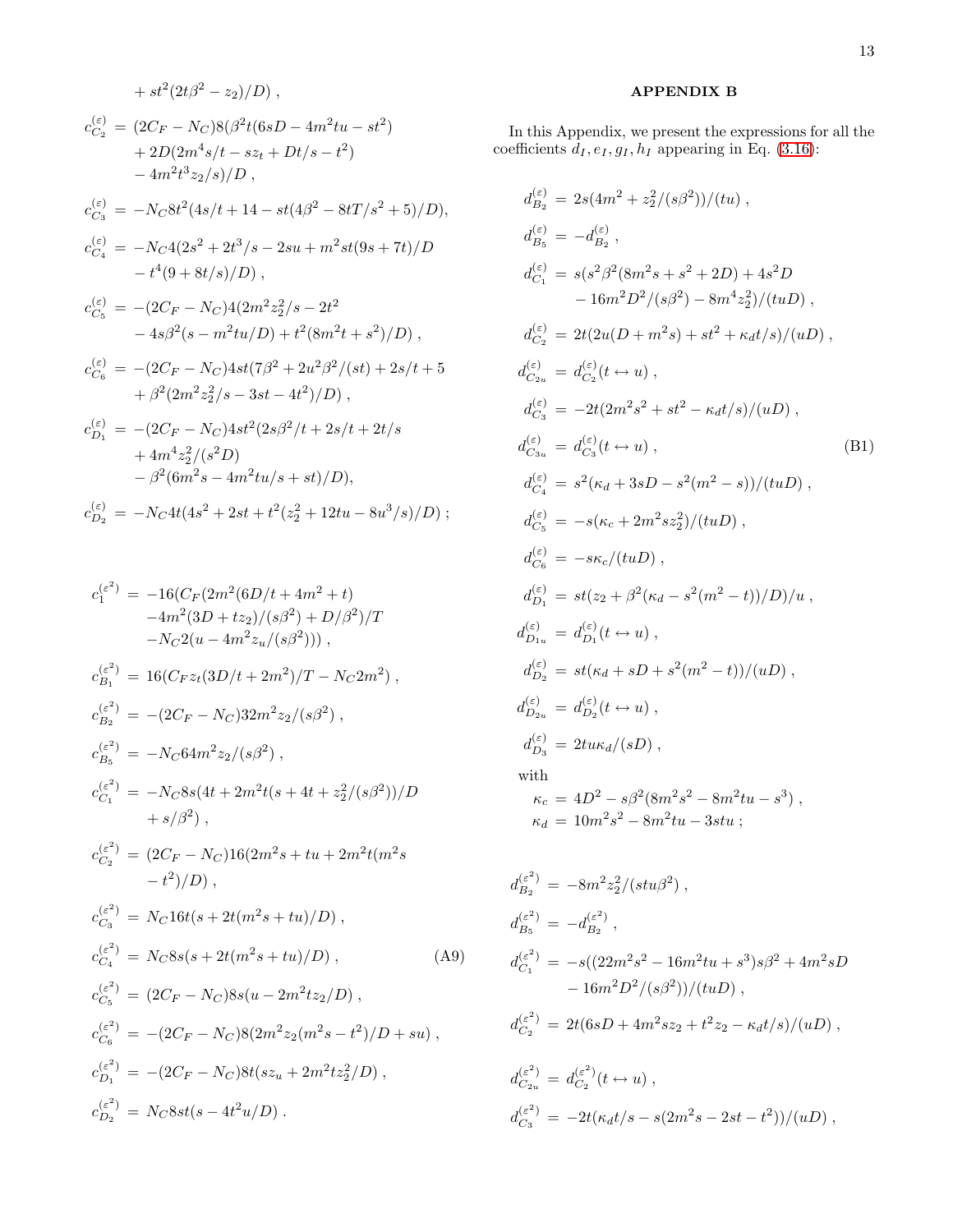$$
+ st^{2}(2t\beta^{2} - z_{2})/D),
$$
  
\n
$$
c_{C_{2}}^{(\varepsilon)} = (2C_{F} - N_{C})8(\beta^{2}t(6sD - 4m^{2}tu - st^{2})
$$
  
\n
$$
+ 2D(2m^{4}s/t - sz_{t} + Dt/s - t^{2})
$$
  
\n
$$
- 4m^{2}t^{3}z_{2}/s)/D,
$$
  
\n
$$
c_{C_{3}}^{(\varepsilon)} = -N_{C}8t^{2}(4s/t + 14 - st(4\beta^{2} - 8tT/s^{2} + 5)/D),
$$
  
\n
$$
c_{C_{4}}^{(\varepsilon)} = -N_{C}4(2s^{2} + 2t^{3}/s - 2su + m^{2}st(9s + 7t)/D
$$
  
\n
$$
- t^{4}(9 + 8t/s)/D),
$$
  
\n
$$
c_{C_{5}}^{(\varepsilon)} = -(2C_{F} - N_{C})4(2m^{2}z_{2}^{2}/s - 2t^{2}
$$
  
\n
$$
- 4s\beta^{2}(s - m^{2}tu/D) + t^{2}(8m^{2}t + s^{2})/D),
$$
  
\n
$$
c_{C_{6}}^{(\varepsilon)} = -(2C_{F} - N_{C})4st(7\beta^{2} + 2u^{2}\beta^{2}/(st) + 2s/t + 5
$$
  
\n
$$
+ \beta^{2}(2m^{2}z_{2}^{2}/s - 3st - 4t^{2})/D),
$$
  
\n
$$
c_{D_{1}}^{(\varepsilon)} = -(2C_{F} - N_{C})4st^{2}(2s\beta^{2}/t + 2s/t + 2t/s + 4m^{4}z_{2}^{2}/(s^{2}D))
$$
  
\n
$$
- \beta^{2}(6m^{2}s - 4m^{2}tu/s + st)/D),
$$
  
\n
$$
c_{D_{2}}^{(\varepsilon)} = -N_{C}4t(4s^{2} + 2st + t^{2}(z_{2}^{2} + 12tu - 8u^{3}/s)/D);
$$

$$
c_1^{(\varepsilon^2)} = -16(C_F(2m^2(6D/t + 4m^2 + t) \n-4m^2(3D + tz_2)/(s\beta^2) + D/\beta^2)/T \n-NC_2(u - 4m^2z_u/(s\beta^2))),
$$
  
\n
$$
c_{B_1}^{(\varepsilon^2)} = 16(C_Fz_t(3D/t + 2m^2)/T - N_C2m^2),
$$
  
\n
$$
c_{B_2}^{(\varepsilon^2)} = -(2C_F - N_C)32m^2z_2/(s\beta^2),
$$
  
\n
$$
c_{B_5}^{(\varepsilon^2)} = -N_C64m^2z_2/(s\beta^2),
$$
  
\n
$$
c_{C_1}^{(\varepsilon^2)} = -N_C8s(4t + 2m^2t(s + 4t + z_2^2/(s\beta^2))/D \n+ s/\beta^2),
$$
  
\n
$$
c_{C_2}^{(\varepsilon^2)} = (2C_F - N_C)16(2m^2s + tu + 2m^2t(m^2s - t^2)/D),
$$
  
\n
$$
c_{C_3}^{(\varepsilon^2)} = N_C16t(s + 2t(m^2s + tu)/D),
$$
  
\n
$$
c_{C_4}^{(\varepsilon^2)} = N_C8s(s + 2t(m^2s + tu)/D),
$$
  
\n
$$
c_{C_5}^{(\varepsilon^2)} = (2C_F - N_C)8s(u - 2m^2tz_2/D),
$$
  
\n
$$
c_{C_6}^{(\varepsilon^2)} = -(2C_F - N_C)8(2m^2z_2(m^2s - t^2)/D + su),
$$
  
\n
$$
c_{D_1}^{(\varepsilon^2)} = -(2C_F - N_C)8t(sz_u + 2m^2tz_2^2/D),
$$
  
\n
$$
c_{D_2}^{(\varepsilon^2)} = N_C8st(s - 4t^2u/D).
$$

## APPENDIX B

In this Appendix, we present the expressions for all the coefficients  $d_I, e_I, g_I, h_I$  appearing in Eq. [\(3.16\)](#page-7-4):

$$
d_{B_2}^{(\varepsilon)} = 2s(4m^2 + z_2^2/(s\beta^2))/(tu),
$$
  
\n
$$
d_{B_5}^{(\varepsilon)} = -d_{B_2}^{(\varepsilon)},
$$
  
\n
$$
d_{C_1}^{(\varepsilon)} = s(s^2\beta^2(8m^2s + s^2 + 2D) + 4s^2D - 16m^2D^2/(s\beta^2) - 8m^4z_2^2)/(tuD),
$$
  
\n
$$
d_{C_2}^{(\varepsilon)} = 2t(2u(D + m^2s) + st^2 + \kappa_d t/s)/(uD),
$$
  
\n
$$
d_{C_2}^{(\varepsilon)} = d_{C_2}^{(\varepsilon)}(t \leftrightarrow u),
$$
  
\n
$$
d_{C_3}^{(\varepsilon)} = -2t(2m^2s^2 + st^2 - \kappa_d t/s)/(uD),
$$
  
\n
$$
d_{C_3}^{(\varepsilon)} = d_{C_3}^{(\varepsilon)}(t \leftrightarrow u),
$$
  
\n
$$
d_{C_4}^{(\varepsilon)} = s^2(\kappa_d + 3sD - s^2(m^2 - s))/(tuD),
$$
  
\n
$$
d_{C_5}^{(\varepsilon)} = -s(\kappa_c + 2m^2sz_2^2)/(tuD),
$$
  
\n
$$
d_{C_6}^{(\varepsilon)} = -s\kappa_c/(tuD),
$$
  
\n
$$
d_{D_1}^{(\varepsilon)} = st(z_2 + \beta^2(\kappa_d - s^2(m^2 - t))/D)/u,
$$
  
\n
$$
d_{D_2}^{(\varepsilon)} = d_{D_1}^{(\varepsilon)}(t \leftrightarrow u),
$$
  
\n
$$
d_{D_2}^{(\varepsilon)} = st(\kappa_d + sD + s^2(m^2 - t))/(uD),
$$
  
\n
$$
d_{D_3}^{(\varepsilon)} = 2tu\kappa_d/(sD),
$$
  
\nwith  
\n
$$
\kappa_c = 4D^2 - s\beta^2(8m^2s^2 - 8m^2tu - s^3),
$$
  
\n
$$
\kappa_d = 10m^2s^2 - 8m^2tu - 3stu;
$$

$$
d_{B_2}^{(\varepsilon^2)} = -8m^2z_2^2/(stu\beta^2) ,
$$
  
\n
$$
d_{B_5}^{(\varepsilon^2)} = -d_{B_2}^{(\varepsilon^2)} ,
$$
  
\n
$$
d_{C_1}^{(\varepsilon^2)} = -s((22m^2s^2 - 16m^2tu + s^3)s\beta^2 + 4m^2sD - 16m^2D^2/(s\beta^2))/(tuD) ,
$$
  
\n
$$
d_{C_2}^{(\varepsilon^2)} = 2t(6sD + 4m^2sz_2 + t^2z_2 - \kappa_d t/s)/(uD) ,
$$
  
\n
$$
d_{C_2}^{(\varepsilon^2)} = d_{C_2}^{(\varepsilon^2)}(t \leftrightarrow u) ,
$$
  
\n
$$
d_{C_3}^{(\varepsilon^2)} = -2t(\kappa_d t/s - s(2m^2s - 2st - t^2))/(uD) ,
$$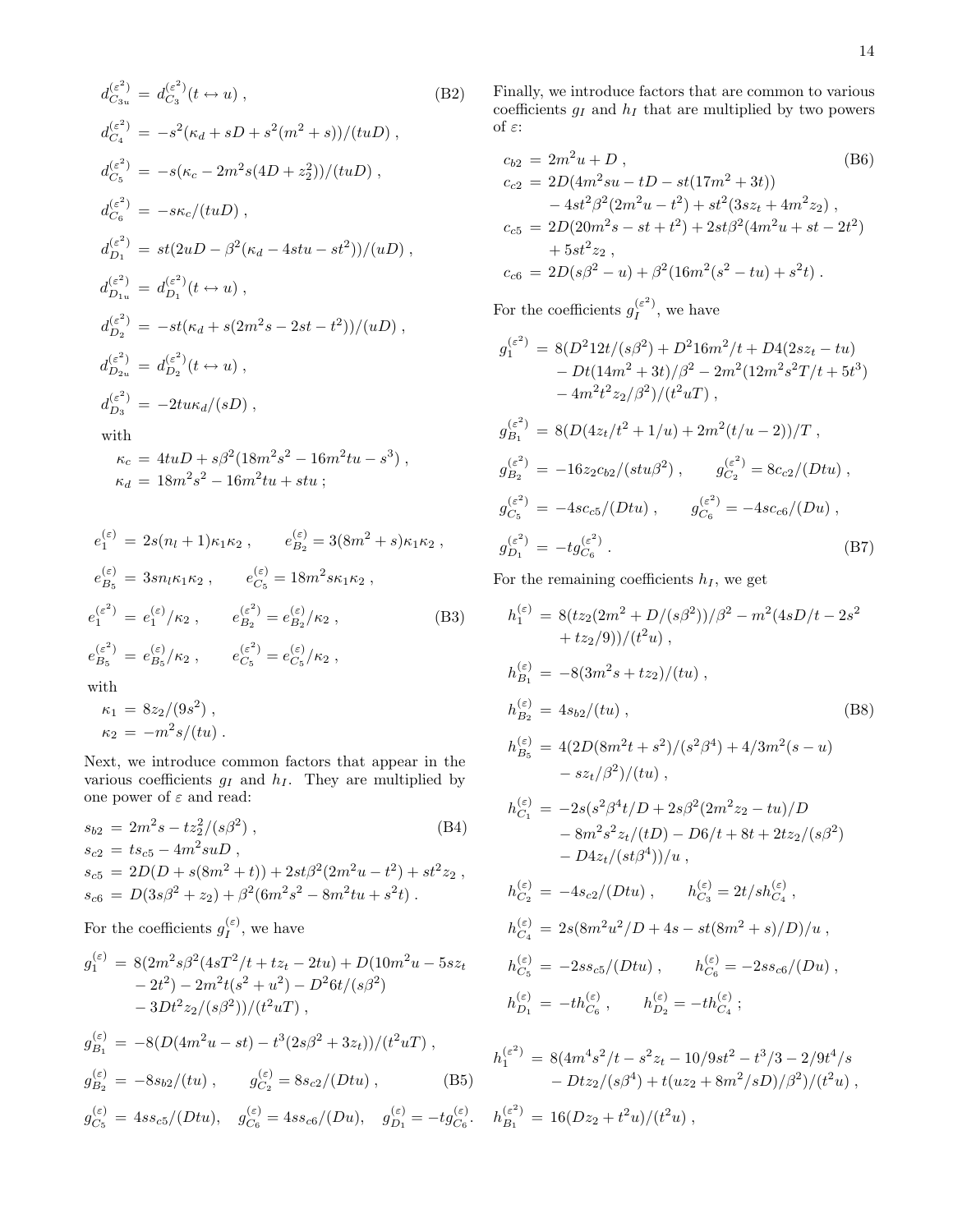$$
d_{C_{3u}}^{(\varepsilon^2)} = d_{C_3}^{(\varepsilon^2)}(t \leftrightarrow u), \qquad (B2)
$$
\n
$$
d_{C_4}^{(\varepsilon^2)} = -s^2(\kappa_d + sD + s^2(m^2 + s))/(tuD),
$$
\n
$$
d_{C_5}^{(\varepsilon^2)} = -s(\kappa_c - 2m^2s(4D + z_2^2))/(tuD),
$$
\n
$$
d_{C_6}^{(\varepsilon^2)} = -s\kappa_c/(tuD),
$$
\n
$$
d_{D_1}^{(\varepsilon^2)} = st(2uD - \beta^2(\kappa_d - 4stu - st^2))/(uD),
$$
\n
$$
d_{D_{1u}}^{(\varepsilon^2)} = d_{D_1}^{(\varepsilon^2)}(t \leftrightarrow u),
$$
\n
$$
d_{D_2}^{(\varepsilon^2)} = -st(\kappa_d + s(2m^2s - 2st - t^2))/(uD),
$$
\n
$$
d_{D_{2u}}^{(\varepsilon^2)} = d_{D_2}^{(\varepsilon^2)}(t \leftrightarrow u),
$$
\n
$$
d_{D_3}^{(\varepsilon^2)} = -2tu\kappa_d/(sD),
$$
\nwith\n
$$
\kappa_c = 4tuD + s\beta^2(18m^2s^2 - 16m^2tu - s^3),
$$
\n
$$
\kappa_d = 18m^2s^2 - 16m^2tu + stu;
$$
\n(19)

$$
e_1^{(\varepsilon)} = 2s(n_l + 1)\kappa_1\kappa_2 , \qquad e_{B_2}^{(\varepsilon)} = 3(8m^2 + s)\kappa_1\kappa_2 ,
$$
  
\n
$$
e_{B_5}^{(\varepsilon)} = 3sn_l\kappa_1\kappa_2 , \qquad e_{C_5}^{(\varepsilon)} = 18m^2s\kappa_1\kappa_2 ,
$$
  
\n
$$
e_1^{(\varepsilon^2)} = e_1^{(\varepsilon)}/\kappa_2 , \qquad e_{B_2}^{(\varepsilon^2)} = e_{B_2}^{(\varepsilon)}/\kappa_2 ,
$$
  
\n
$$
e_{B_5}^{(\varepsilon^2)} = e_{B_5}^{(\varepsilon)}/\kappa_2 , \qquad e_{C_5}^{(\varepsilon^2)} = e_{C_5}^{(\varepsilon)}/\kappa_2 ,
$$
  
\nwith

$$
\kappa_1 = 8z_2/(9s^2) ,
$$
  

$$
\kappa_2 = -m^2 s/(tu) .
$$

Next, we introduce common factors that appear in the various coefficients  $g_I$  and  $h_I$ . They are multiplied by one power of  $\varepsilon$  and read:

$$
s_{b2} = 2m^2 s - t z_2^2 / (s\beta^2),
$$
\n( B4)\n
$$
s_{c2} = t s_{c5} - 4m^2 s u D,
$$
\n
$$
s_{c5} = 2D(D + s(8m^2 + t)) + 2st\beta^2 (2m^2 u - t^2) + st^2 z_2,
$$
\n
$$
s_{c6} = D(3s\beta^2 + z_2) + \beta^2 (6m^2 s^2 - 8m^2 tu + s^2 t).
$$

For the coefficients  $g_I^{(\varepsilon)}$  $I_I^{(\varepsilon)}$ , we have

$$
g_1^{(\varepsilon)} = 8(2m^2s\beta^2(4sT^2/t + tz_t - 2tu) + D(10m^2u - 5sz_t - 2t^2) - 2m^2t(s^2 + u^2) - D^26t/(s\beta^2) - 3Dt^2z_2/(s\beta^2))/(t^2uT),
$$

$$
g_{B_1}^{(\varepsilon)} = -8(D(4m^2u - st) - t^3(2s\beta^2 + 3z_t))/(t^2uT) ,
$$
  
\n
$$
g_{B_2}^{(\varepsilon)} = -8s_{b2}/(tu) , \qquad g_{C_2}^{(\varepsilon)} = 8s_{c2}/(Dtu) ,
$$
 (B5)

$$
g_{C_5}^{(\varepsilon)} = 4ss_{c5}/(Dtu), \quad g_{C_6}^{(\varepsilon)} = 4ss_{c6}/(Du), \quad g_{D_1}^{(\varepsilon)} = -tg_{C_6}^{(\varepsilon)}.
$$

Finally, we introduce factors that are common to various coefficients  $g_I$  and  $h_I$  that are multiplied by two powers of  $\varepsilon$  :

$$
c_{b2} = 2m^2u + D,
$$
\n
$$
c_{c2} = 2D(4m^2su - tD - st(17m^2 + 3t))
$$
\n
$$
-4st^2\beta^2(2m^2u - t^2) + st^2(3sz_t + 4m^2z_2),
$$
\n
$$
c_{c5} = 2D(20m^2s - st + t^2) + 2st\beta^2(4m^2u + st - 2t^2)
$$
\n
$$
+ 5st^2z_2,
$$
\n
$$
c_{c6} = 2D(s\beta^2 - u) + \beta^2(16m^2(s^2 - tu) + s^2t).
$$
\n(B6)

For the coefficients  $g_I^{(\varepsilon^2)}$  $I^{\epsilon}$ , we have

$$
g_1^{(\varepsilon^2)} = 8(D^2 12t/(s\beta^2) + D^2 16m^2/t + D4(2sz_t - tu)
$$
  
\n
$$
- Dt(14m^2 + 3t)/\beta^2 - 2m^2(12m^2 s^2 T/t + 5t^3)
$$
  
\n
$$
- 4m^2 t^2 z_2/\beta^2)/(t^2 uT),
$$
  
\n
$$
g_{B_1}^{(\varepsilon^2)} = 8(D(4z_t/t^2 + 1/u) + 2m^2(t/u - 2))/T,
$$
  
\n
$$
g_{B_2}^{(\varepsilon^2)} = -16z_2 c_{b2}/(stu\beta^2), \qquad g_{C_2}^{(\varepsilon^2)} = 8c_{c2}/(Dtu),
$$
  
\n
$$
g_{C_5}^{(\varepsilon^2)} = -4sc_{c5}/(Dtu), \qquad g_{C_6}^{(\varepsilon^2)} = -4sc_{c6}/(Du),
$$
  
\n
$$
g_{D_1}^{(\varepsilon^2)} = -t g_{C_6}^{(\varepsilon^2)}.
$$
  
\n(B7)

For the remaining coefficients  $h_I$ , we get

$$
h_1^{(\varepsilon)} = 8(tz_2(2m^2 + D/(s\beta^2))/\beta^2 - m^2(4sD/t - 2s^2 + tz_2/9))/(t^2u),
$$
  
\n
$$
h_{B_1}^{(\varepsilon)} = -8(3m^2s + tz_2)/(tu),
$$
  
\n
$$
h_{B_2}^{(\varepsilon)} = 4s_{b2}/(tu),
$$
  
\n
$$
h_{B_5}^{(\varepsilon)} = 4(2D(8m^2t + s^2)/(s^2\beta^4) + 4/3m^2(s - u) - sz_t/\beta^2)/(tu),
$$
  
\n
$$
h_{C_1}^{(\varepsilon)} = -2s(s^2\beta^4t/D + 2s\beta^2(2m^2z_2 - tu)/D - 8m^2s^2z_t/(tD) - D6/t + 8t + 2tz_2/(s\beta^2) - D4z_t/(st\beta^4))/u,
$$
  
\n
$$
h_{C_2}^{(\varepsilon)} = -4s_{c2}/(Dtu), \qquad h_{C_3}^{(\varepsilon)} = 2t/sh_{C_4}^{(\varepsilon)},
$$
  
\n
$$
h_{C_4}^{(\varepsilon)} = 2s(8m^2u^2/D + 4s - st(8m^2 + s)/D)/u,
$$
  
\n
$$
h_{C_5}^{(\varepsilon)} = -2ss_{c5}/(Dtu), \qquad h_{C_6}^{(\varepsilon)} = -2ss_{c6}/(Du),
$$

$$
h_{D_1}^{(\varepsilon)} = -th_{C_6}^{(\varepsilon)}, \qquad h_{D_2}^{(\varepsilon)} = -th_{C_4}^{(\varepsilon)};
$$

$$
h_1^{(\varepsilon^2)} = 8(4m^4s^2/t - s^2z_t - 10/9st^2 - t^3/3 - 2/9t^4/s - Dtz_2/(s\beta^4) + t(uz_2 + 8m^2/sD)/\beta^2)/(t^2u),
$$
  
\n
$$
h_{B_1}^{(\varepsilon^2)} = 16(Dz_2 + t^2u)/(t^2u),
$$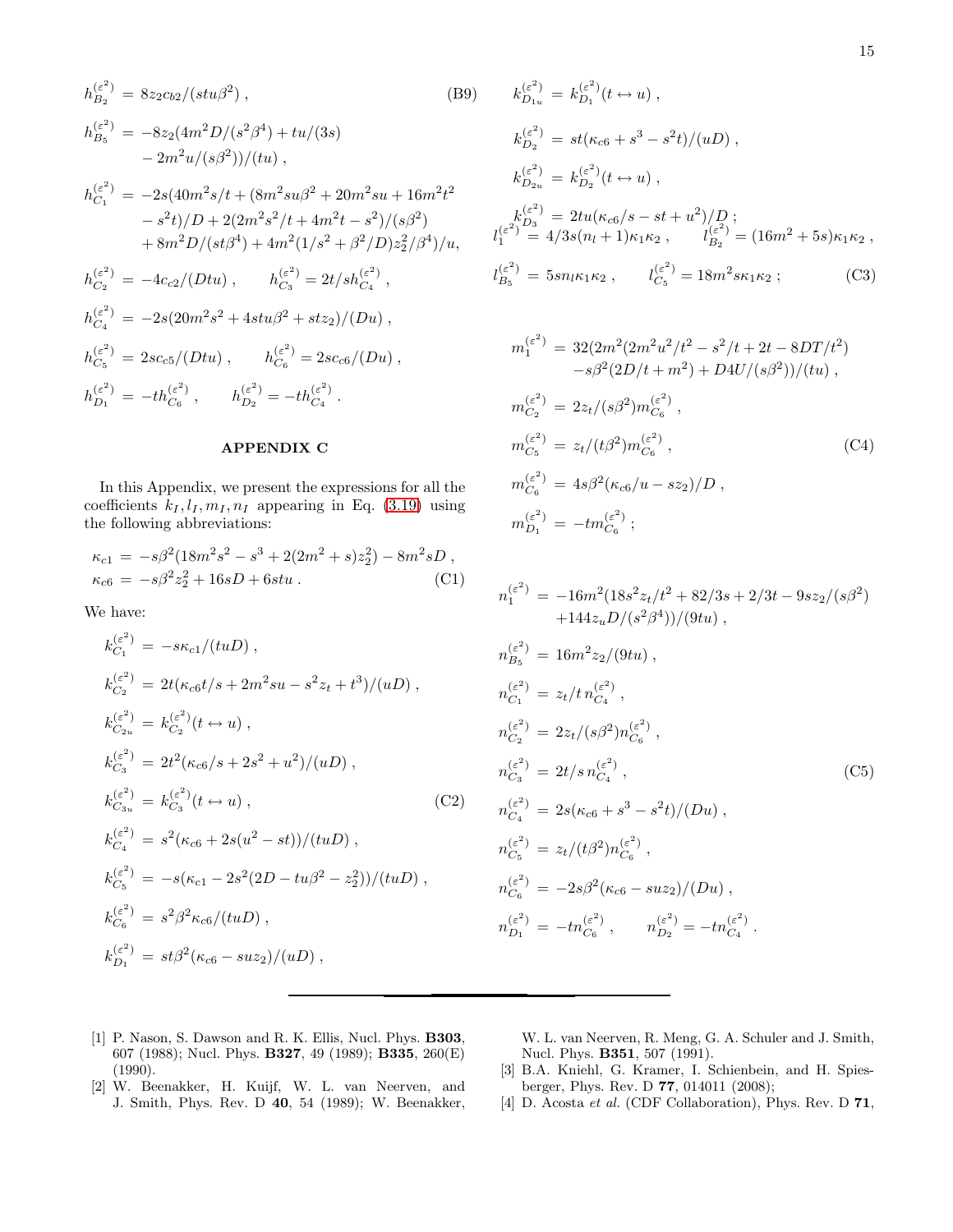$$
h_{B_2}^{(\varepsilon^2)} = 8z_2c_{b2}/(stu\beta^2), \qquad (B9)
$$
  
\n
$$
h_{B_5}^{(\varepsilon^2)} = -8z_2(4m^2D/(s^2\beta^4) + tu/(3s)
$$
  
\n
$$
-2m^2u/(s\beta^2))/(tu),
$$
  
\n
$$
h_{C_1}^{(\varepsilon^2)} = -2s(40m^2s/t + (8m^2su\beta^2 + 20m^2su + 16m^2t^2 - s^2t)/D + 2(2m^2s^2/t + 4m^2t - s^2)/(s\beta^2)
$$
  
\n
$$
+ 8m^2D/(st\beta^4) + 4m^2(1/s^2 + \beta^2/D)z_2^2/\beta^4)/u,
$$
  
\n
$$
h_{C_2}^{(\varepsilon^2)} = -4c_{c2}/(Dtu), \qquad h_{C_3}^{(\varepsilon^2)} = 2t/sh_{C_4}^{(\varepsilon^2)},
$$
  
\n
$$
h_{C_4}^{(\varepsilon^2)} = -2s(20m^2s^2 + 4stu\beta^2 + stz_2)/(Du),
$$
  
\n
$$
h_{C_5}^{(\varepsilon^2)} = 2sc_{c5}/(Dtu), \qquad h_{C_6}^{(\varepsilon^2)} = 2sc_{c6}/(Du),
$$
  
\n
$$
h_{D_1}^{(\varepsilon^2)} = -th_{C_6}^{(\varepsilon^2)}, \qquad h_{D_2}^{(\varepsilon^2)} = -th_{C_4}^{(\varepsilon^2)}.
$$

#### APPENDIX C

In this Appendix, we present the expressions for all the coefficients  $k_I, l_I, m_I, n_I$  appearing in Eq. [\(3.19\)](#page-7-5) using the following abbreviations:

$$
\kappa_{c1} = -s\beta^2 (18m^2 s^2 - s^3 + 2(2m^2 + s)z_2^2) - 8m^2 sD ,
$$
  
\n
$$
\kappa_{c6} = -s\beta^2 z_2^2 + 16sD + 6stu .
$$
 (C1)

We have:

$$
k_{C_1}^{(\varepsilon^2)} = -s\kappa_{c1}/(tuD),
$$
  
\n
$$
k_{C_2}^{(\varepsilon^2)} = 2t(\kappa_{c6}t/s + 2m^2su - s^2z_t + t^3)/(uD),
$$
  
\n
$$
k_{C_{2u}}^{(\varepsilon^2)} = k_{C_2}^{(\varepsilon^2)}(t \leftrightarrow u),
$$
  
\n
$$
k_{C_3}^{(\varepsilon^2)} = 2t^2(\kappa_{c6}/s + 2s^2 + u^2)/(uD),
$$
  
\n
$$
k_{C_{3u}}^{(\varepsilon^2)} = k_{C_3}^{(\varepsilon^2)}(t \leftrightarrow u),
$$
  
\n
$$
k_{C_4}^{(\varepsilon^2)} = s^2(\kappa_{c6} + 2s(u^2 - st))/(tuD),
$$
  
\n
$$
k_{C_5}^{(\varepsilon^2)} = -s(\kappa_{c1} - 2s^2(2D - tu\beta^2 - z_2^2))/(tuD),
$$
  
\n
$$
k_{C_6}^{(\varepsilon^2)} = s^2\beta^2\kappa_{c6}/(tuD),
$$
  
\n
$$
k_{D_1}^{(\varepsilon^2)} = st\beta^2(\kappa_{c6} - suz_2)/(uD),
$$

$$
k_{D_{1u}}^{(\varepsilon^2)} = k_{D_1}^{(\varepsilon^2)}(t \leftrightarrow u) ,
$$
  
\n
$$
k_{D_2}^{(\varepsilon^2)} = st(\kappa_{c6} + s^3 - s^2t)/(uD) ,
$$
  
\n
$$
k_{D_{2u}}^{(\varepsilon^2)} = k_{D_2}^{(\varepsilon^2)}(t \leftrightarrow u) ,
$$
  
\n
$$
k_{D_3}^{(\varepsilon^2)} = 2tu(\kappa_{c6}/s - st + u^2)/D ;
$$
  
\n
$$
l_1^{(\varepsilon^2)} = 4/3s(n_l + 1)\kappa_1\kappa_2 , \qquad l_{B_2}^{(\varepsilon^2)} = (16m^2 + 5s)\kappa_1\kappa_2 ,
$$
  
\n
$$
l_{B_5}^{(\varepsilon^2)} = 5sn_l\kappa_1\kappa_2 , \qquad l_{C_5}^{(\varepsilon^2)} = 18m^2s\kappa_1\kappa_2 ;
$$
 (C3)

$$
m_1^{(\varepsilon^2)} = 32(2m^2(2m^2u^2/t^2 - s^2/t + 2t - 8DT/t^2)
$$
  
\n
$$
-s\beta^2(2D/t + m^2) + D4U/(s\beta^2))/(tu),
$$
  
\n
$$
m_{C_2}^{(\varepsilon^2)} = 2z_t/(s\beta^2)m_{C_6}^{(\varepsilon^2)},
$$
  
\n
$$
m_{C_5}^{(\varepsilon^2)} = z_t/(t\beta^2)m_{C_6}^{(\varepsilon^2)},
$$
  
\n
$$
m_{C_6}^{(\varepsilon^2)} = 4s\beta^2(\kappa_{c6}/u - sz_2)/D,
$$
  
\n
$$
m_{D_1}^{(\varepsilon^2)} = -tm_{C_6}^{(\varepsilon^2)};
$$
  
\n(C4)

$$
n_1^{(\varepsilon^2)} = -16m^2(18s^2z_t/t^2 + 82/3s + 2/3t - 9sz_2/(s\beta^2)
$$
  
\n
$$
+144z_u D/(s^2\beta^4))/(9tu),
$$
  
\n
$$
n_{B_5}^{(\varepsilon^2)} = 16m^2z_2/(9tu),
$$
  
\n
$$
n_{C_1}^{(\varepsilon^2)} = z_t/t n_{C_4}^{(\varepsilon^2)},
$$
  
\n
$$
n_{C_2}^{(\varepsilon^2)} = 2z_t/(s\beta^2)n_{C_6}^{(\varepsilon^2)},
$$
  
\n
$$
n_{C_3}^{(\varepsilon^2)} = 2t/s n_{C_4}^{(\varepsilon^2)},
$$
  
\n
$$
n_{C_4}^{(\varepsilon^2)} = 2s(\kappa_{c6} + s^3 - s^2t)/(Du),
$$
  
\n
$$
n_{C_5}^{(\varepsilon^2)} = z_t/(t\beta^2)n_{C_6}^{(\varepsilon^2)},
$$
  
\n
$$
n_{C_6}^{(\varepsilon^2)} = -2s\beta^2(\kappa_{c6} - suz_2)/(Du),
$$
  
\n
$$
n_{D_1}^{(\varepsilon^2)} = -tn_{C_6}^{(\varepsilon^2)},
$$
  
\n
$$
n_{D_2}^{(\varepsilon^2)} = -tn_{C_4}^{(\varepsilon^2)}.
$$
  
\n(C5)

- <span id="page-14-0"></span>[1] P. Nason, S. Dawson and R. K. Ellis, Nucl. Phys. **B303**, 607 (1988); Nucl. Phys. B327, 49 (1989); B335, 260(E) (1990).
- <span id="page-14-1"></span>[2] W. Beenakker, H. Kuijf, W. L. van Neerven, and J. Smith, Phys. Rev. D 40, 54 (1989); W. Beenakker,

W. L. van Neerven, R. Meng, G. A. Schuler and J. Smith, Nucl. Phys. B351, 507 (1991).

- <span id="page-14-2"></span>[3] B.A. Kniehl, G. Kramer, I. Schienbein, and H. Spiesberger, Phys. Rev. D 77, 014011 (2008);
- <span id="page-14-3"></span>[4] D. Acosta et al. (CDF Collaboration), Phys. Rev. D 71,